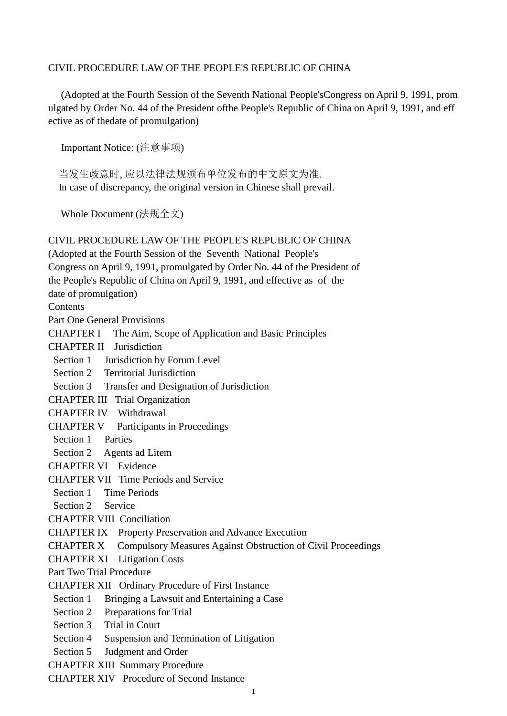### CIVIL PROCEDURE LAW OF THE PEOPLE'S REPUBLIC OF CHINA

(Adopted at the Fourth Session of the Seventh National People'sCongress on April 9, 1991, prom ulgated by Order No. 44 of the President ofthe People's Republic of China on April 9, 1991, and eff ective as of thedate of promulgation)

Important Notice: (注意事项)

当发生歧意时, 应以法律法规颁布单位发布的中文原文为准. In case of discrepancy, the original version in Chinese shall prevail.

Whole Document (法规全文)

### CIVIL PROCEDURE LAW OF THE PEOPLE'S REPUBLIC OF CHINA

(Adopted at the Fourth Session of the Seventh National People's Congress on April 9, 1991, promulgated by Order No. 44 of the President of the People's Republic of China on April 9, 1991, and effective as of the date of promulgation) **Contents** Part One General Provisions CHAPTER I The Aim, Scope of Application and Basic Principles CHAPTER II Jurisdiction Section 1 Jurisdiction by Forum Level Section 2 Territorial Jurisdiction Section 3 Transfer and Designation of Jurisdiction CHAPTER III Trial Organization CHAPTER IV Withdrawal CHAPTER V Participants in Proceedings Section 1 Parties Section 2 Agents ad Litem CHAPTER VI Evidence CHAPTER VII Time Periods and Service Section 1 Time Periods Section 2 Service CHAPTER VIII Conciliation CHAPTER IX Property Preservation and Advance Execution CHAPTER X Compulsory Measures Against Obstruction of Civil Proceedings CHAPTER XI Litigation Costs Part Two Trial Procedure CHAPTER XII Ordinary Procedure of First Instance Section 1 Bringing a Lawsuit and Entertaining a Case Section 2 Preparations for Trial Section 3 Trial in Court Section 4 Suspension and Termination of Litigation Section 5 Judgment and Order CHAPTER XIII Summary Procedure

CHAPTER XIV Procedure of Second Instance

1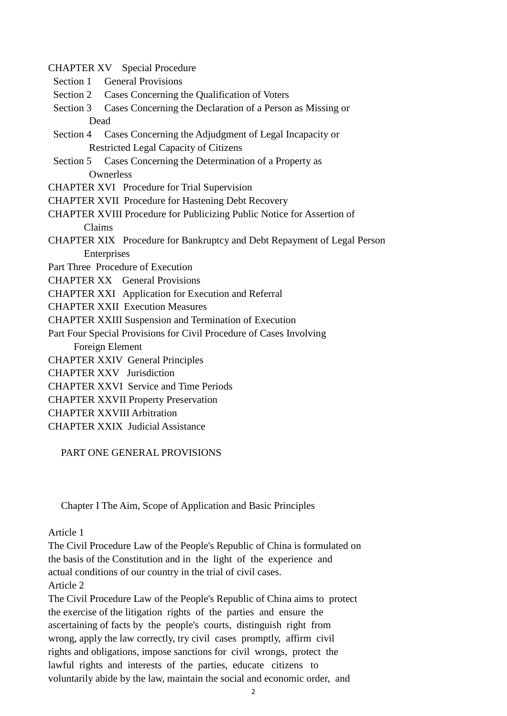CHAPTER XV Special Procedure

- Section 1 General Provisions
- Section 2 Cases Concerning the Qualification of Voters
- Section 3 Cases Concerning the Declaration of a Person as Missing or Dead
- Section 4 Cases Concerning the Adjudgment of Legal Incapacity or Restricted Legal Capacity of Citizens
- Section 5 Cases Concerning the Determination of a Property as Ownerless
- CHAPTER XVI Procedure for Trial Supervision
- CHAPTER XVII Procedure for Hastening Debt Recovery
- CHAPTER XVIII Procedure for Publicizing Public Notice for Assertion of Claims
- CHAPTER XIX Procedure for Bankruptcy and Debt Repayment of Legal Person **Enterprises**
- Part Three Procedure of Execution
- CHAPTER XX General Provisions
- CHAPTER XXI Application for Execution and Referral
- CHAPTER XXII Execution Measures
- CHAPTER XXIII Suspension and Termination of Execution
- Part Four Special Provisions for Civil Procedure of Cases Involving Foreign Element
- CHAPTER XXIV General Principles
- CHAPTER XXV Jurisdiction
- CHAPTER XXVI Service and Time Periods
- CHAPTER XXVII Property Preservation
- CHAPTER XXVIII Arbitration
- CHAPTER XXIX Judicial Assistance

PART ONE GENERAL PROVISIONS

Chapter I The Aim, Scope of Application and Basic Principles

Article 1

The Civil Procedure Law of the People's Republic of China is formulated on the basis of the Constitution and in the light of the experience and actual conditions of our country in the trial of civil cases. Article 2

The Civil Procedure Law of the People's Republic of China aims to protect the exercise of the litigation rights of the parties and ensure the ascertaining of facts by the people's courts, distinguish right from wrong, apply the law correctly, try civil cases promptly, affirm civil rights and obligations, impose sanctions for civil wrongs, protect the lawful rights and interests of the parties, educate citizens to voluntarily abide by the law, maintain the social and economic order, and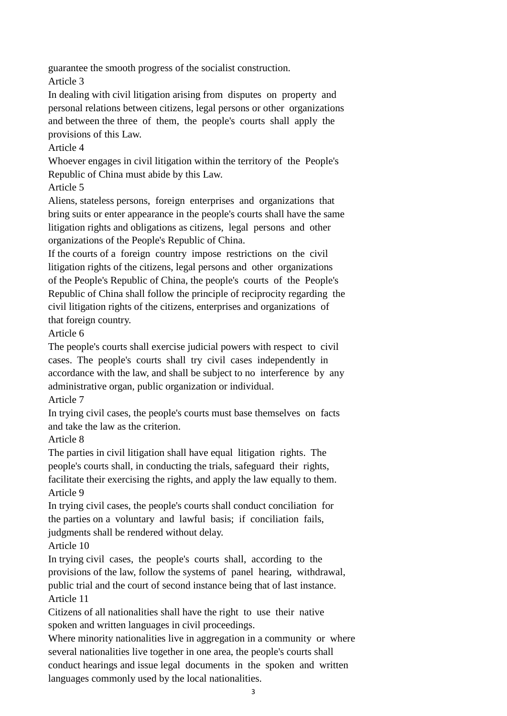guarantee the smooth progress of the socialist construction.

Article 3

In dealing with civil litigation arising from disputes on property and personal relations between citizens, legal persons or other organizations and between the three of them, the people's courts shall apply the provisions of this Law.

Article 4

Whoever engages in civil litigation within the territory of the People's Republic of China must abide by this Law.

Article 5

Aliens, stateless persons, foreign enterprises and organizations that bring suits or enter appearance in the people's courts shall have the same litigation rights and obligations as citizens, legal persons and other organizations of the People's Republic of China.

If the courts of a foreign country impose restrictions on the civil litigation rights of the citizens, legal persons and other organizations of the People's Republic of China, the people's courts of the People's Republic of China shall follow the principle of reciprocity regarding the civil litigation rights of the citizens, enterprises and organizations of that foreign country.

Article 6

The people's courts shall exercise judicial powers with respect to civil cases. The people's courts shall try civil cases independently in accordance with the law, and shall be subject to no interference by any administrative organ, public organization or individual.

Article 7

In trying civil cases, the people's courts must base themselves on facts and take the law as the criterion.

Article 8

The parties in civil litigation shall have equal litigation rights. The people's courts shall, in conducting the trials, safeguard their rights, facilitate their exercising the rights, and apply the law equally to them. Article 9

In trying civil cases, the people's courts shall conduct conciliation for the parties on a voluntary and lawful basis; if conciliation fails, judgments shall be rendered without delay.

Article 10

In trying civil cases, the people's courts shall, according to the provisions of the law, follow the systems of panel hearing, withdrawal, public trial and the court of second instance being that of last instance. Article 11

Citizens of all nationalities shall have the right to use their native spoken and written languages in civil proceedings.

Where minority nationalities live in aggregation in a community or where several nationalities live together in one area, the people's courts shall conduct hearings and issue legal documents in the spoken and written languages commonly used by the local nationalities.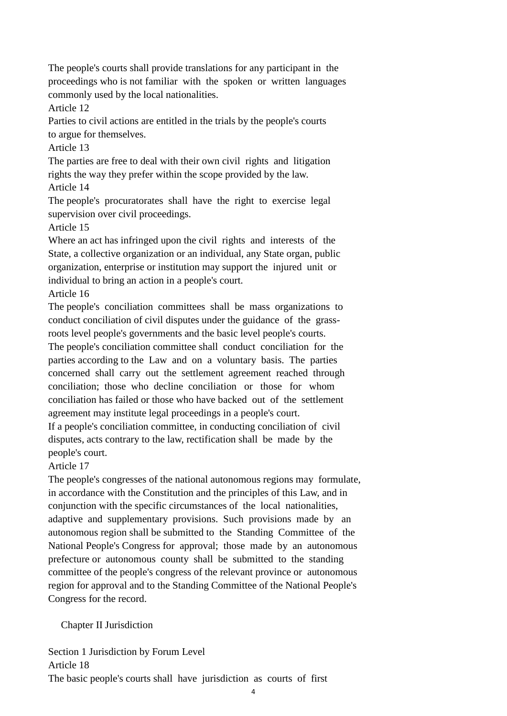The people's courts shall provide translations for any participant in the proceedings who is not familiar with the spoken or written languages commonly used by the local nationalities.

Article 12

Parties to civil actions are entitled in the trials by the people's courts to argue for themselves.

Article 13

The parties are free to deal with their own civil rights and litigation rights the way they prefer within the scope provided by the law.

Article 14

The people's procuratorates shall have the right to exercise legal supervision over civil proceedings.

Article 15

Where an act has infringed upon the civil rights and interests of the State, a collective organization or an individual, any State organ, public organization, enterprise or institution may support the injured unit or individual to bring an action in a people's court.

Article 16

The people's conciliation committees shall be mass organizations to conduct conciliation of civil disputes under the guidance of the grassroots level people's governments and the basic level people's courts.

The people's conciliation committee shall conduct conciliation for the parties according to the Law and on a voluntary basis. The parties concerned shall carry out the settlement agreement reached through conciliation; those who decline conciliation or those for whom conciliation has failed or those who have backed out of the settlement agreement may institute legal proceedings in a people's court.

If a people's conciliation committee, in conducting conciliation of civil disputes, acts contrary to the law, rectification shall be made by the people's court.

Article 17

The people's congresses of the national autonomous regions may formulate, in accordance with the Constitution and the principles of this Law, and in conjunction with the specific circumstances of the local nationalities, adaptive and supplementary provisions. Such provisions made by an autonomous region shall be submitted to the Standing Committee of the National People's Congress for approval; those made by an autonomous prefecture or autonomous county shall be submitted to the standing committee of the people's congress of the relevant province or autonomous region for approval and to the Standing Committee of the National People's Congress for the record.

Chapter II Jurisdiction

Section 1 Jurisdiction by Forum Level Article 18 The basic people's courts shall have jurisdiction as courts of first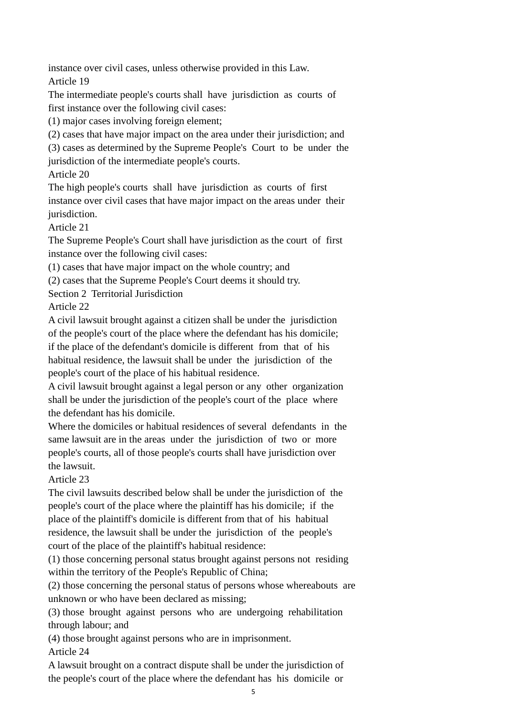instance over civil cases, unless otherwise provided in this Law.

Article 19

The intermediate people's courts shall have jurisdiction as courts of first instance over the following civil cases:

(1) major cases involving foreign element;

(2) cases that have major impact on the area under their jurisdiction; and

(3) cases as determined by the Supreme People's Court to be under the jurisdiction of the intermediate people's courts.

Article 20

The high people's courts shall have jurisdiction as courts of first instance over civil cases that have major impact on the areas under their jurisdiction.

Article 21

The Supreme People's Court shall have jurisdiction as the court of first instance over the following civil cases:

(1) cases that have major impact on the whole country; and

(2) cases that the Supreme People's Court deems it should try.

Section 2 Territorial Jurisdiction

Article 22

A civil lawsuit brought against a citizen shall be under the jurisdiction of the people's court of the place where the defendant has his domicile; if the place of the defendant's domicile is different from that of his habitual residence, the lawsuit shall be under the jurisdiction of the people's court of the place of his habitual residence.

A civil lawsuit brought against a legal person or any other organization shall be under the jurisdiction of the people's court of the place where the defendant has his domicile.

Where the domiciles or habitual residences of several defendants in the same lawsuit are in the areas under the jurisdiction of two or more people's courts, all of those people's courts shall have jurisdiction over the lawsuit.

Article 23

The civil lawsuits described below shall be under the jurisdiction of the people's court of the place where the plaintiff has his domicile; if the place of the plaintiff's domicile is different from that of his habitual residence, the lawsuit shall be under the jurisdiction of the people's court of the place of the plaintiff's habitual residence:

(1) those concerning personal status brought against persons not residing within the territory of the People's Republic of China;

(2) those concerning the personal status of persons whose whereabouts are unknown or who have been declared as missing;

(3) those brought against persons who are undergoing rehabilitation through labour; and

(4) those brought against persons who are in imprisonment.

Article 24

A lawsuit brought on a contract dispute shall be under the jurisdiction of the people's court of the place where the defendant has his domicile or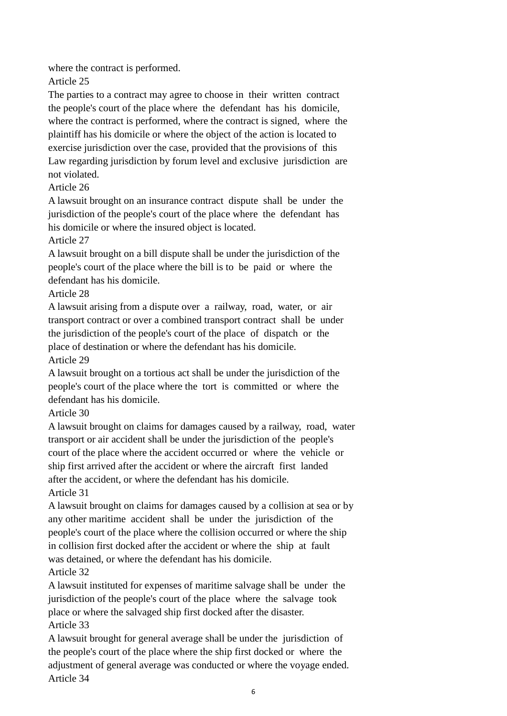where the contract is performed.

Article 25

The parties to a contract may agree to choose in their written contract the people's court of the place where the defendant has his domicile, where the contract is performed, where the contract is signed, where the plaintiff has his domicile or where the object of the action is located to exercise jurisdiction over the case, provided that the provisions of this Law regarding jurisdiction by forum level and exclusive jurisdiction are not violated.

# Article 26

A lawsuit brought on an insurance contract dispute shall be under the jurisdiction of the people's court of the place where the defendant has his domicile or where the insured object is located.

# Article 27

A lawsuit brought on a bill dispute shall be under the jurisdiction of the people's court of the place where the bill is to be paid or where the defendant has his domicile.

# Article 28

A lawsuit arising from a dispute over a railway, road, water, or air transport contract or over a combined transport contract shall be under the jurisdiction of the people's court of the place of dispatch or the place of destination or where the defendant has his domicile.

# Article 29

A lawsuit brought on a tortious act shall be under the jurisdiction of the people's court of the place where the tort is committed or where the defendant has his domicile.

# Article 30

A lawsuit brought on claims for damages caused by a railway, road, water transport or air accident shall be under the jurisdiction of the people's court of the place where the accident occurred or where the vehicle or ship first arrived after the accident or where the aircraft first landed after the accident, or where the defendant has his domicile. Article 31

A lawsuit brought on claims for damages caused by a collision at sea or by any other maritime accident shall be under the jurisdiction of the people's court of the place where the collision occurred or where the ship in collision first docked after the accident or where the ship at fault was detained, or where the defendant has his domicile.

# Article 32

A lawsuit instituted for expenses of maritime salvage shall be under the jurisdiction of the people's court of the place where the salvage took place or where the salvaged ship first docked after the disaster. Article 33

A lawsuit brought for general average shall be under the jurisdiction of the people's court of the place where the ship first docked or where the adjustment of general average was conducted or where the voyage ended. Article 34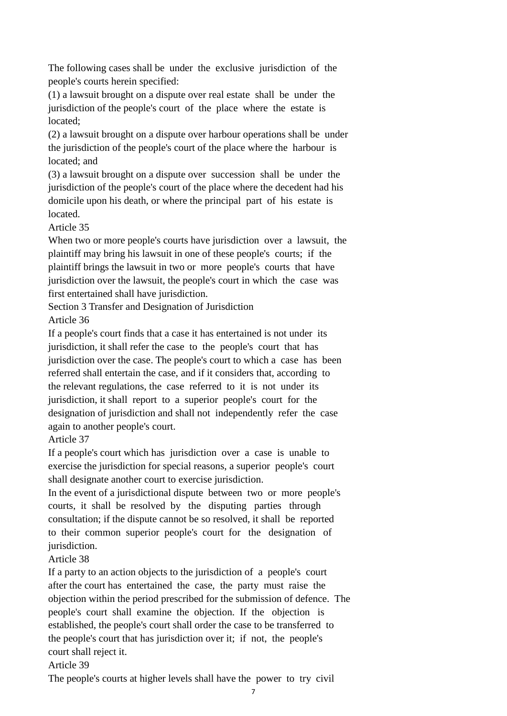The following cases shall be under the exclusive jurisdiction of the people's courts herein specified:

(1) a lawsuit brought on a dispute over real estate shall be under the jurisdiction of the people's court of the place where the estate is located;

(2) a lawsuit brought on a dispute over harbour operations shall be under the jurisdiction of the people's court of the place where the harbour is located; and

(3) a lawsuit brought on a dispute over succession shall be under the jurisdiction of the people's court of the place where the decedent had his domicile upon his death, or where the principal part of his estate is located.

Article 35

When two or more people's courts have jurisdiction over a lawsuit, the plaintiff may bring his lawsuit in one of these people's courts; if the plaintiff brings the lawsuit in two or more people's courts that have jurisdiction over the lawsuit, the people's court in which the case was first entertained shall have jurisdiction.

Section 3 Transfer and Designation of Jurisdiction Article 36

If a people's court finds that a case it has entertained is not under its jurisdiction, it shall refer the case to the people's court that has jurisdiction over the case. The people's court to which a case has been referred shall entertain the case, and if it considers that, according to the relevant regulations, the case referred to it is not under its jurisdiction, it shall report to a superior people's court for the designation of jurisdiction and shall not independently refer the case again to another people's court.

Article 37

If a people's court which has jurisdiction over a case is unable to exercise the jurisdiction for special reasons, a superior people's court shall designate another court to exercise jurisdiction.

In the event of a jurisdictional dispute between two or more people's courts, it shall be resolved by the disputing parties through consultation; if the dispute cannot be so resolved, it shall be reported to their common superior people's court for the designation of jurisdiction.

Article 38

If a party to an action objects to the jurisdiction of a people's court after the court has entertained the case, the party must raise the objection within the period prescribed for the submission of defence. The people's court shall examine the objection. If the objection is established, the people's court shall order the case to be transferred to the people's court that has jurisdiction over it; if not, the people's court shall reject it.

Article 39

The people's courts at higher levels shall have the power to try civil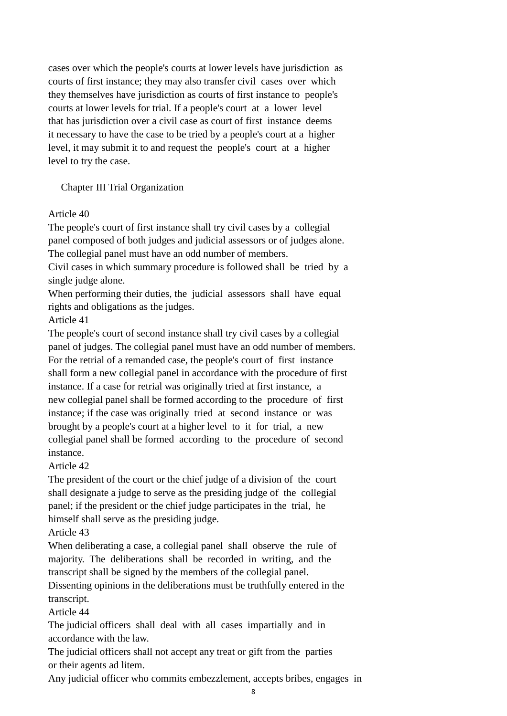cases over which the people's courts at lower levels have jurisdiction as courts of first instance; they may also transfer civil cases over which they themselves have jurisdiction as courts of first instance to people's courts at lower levels for trial. If a people's court at a lower level that has jurisdiction over a civil case as court of first instance deems it necessary to have the case to be tried by a people's court at a higher level, it may submit it to and request the people's court at a higher level to try the case.

Chapter III Trial Organization

# Article 40

The people's court of first instance shall try civil cases by a collegial panel composed of both judges and judicial assessors or of judges alone. The collegial panel must have an odd number of members.

Civil cases in which summary procedure is followed shall be tried by a single judge alone.

When performing their duties, the judicial assessors shall have equal rights and obligations as the judges.

Article 41

The people's court of second instance shall try civil cases by a collegial panel of judges. The collegial panel must have an odd number of members. For the retrial of a remanded case, the people's court of first instance shall form a new collegial panel in accordance with the procedure of first instance. If a case for retrial was originally tried at first instance, a new collegial panel shall be formed according to the procedure of first instance; if the case was originally tried at second instance or was brought by a people's court at a higher level to it for trial, a new collegial panel shall be formed according to the procedure of second instance.

Article 42

The president of the court or the chief judge of a division of the court shall designate a judge to serve as the presiding judge of the collegial panel; if the president or the chief judge participates in the trial, he himself shall serve as the presiding judge.

Article 43

When deliberating a case, a collegial panel shall observe the rule of majority. The deliberations shall be recorded in writing, and the transcript shall be signed by the members of the collegial panel.

Dissenting opinions in the deliberations must be truthfully entered in the transcript.

Article 44

The judicial officers shall deal with all cases impartially and in accordance with the law.

The judicial officers shall not accept any treat or gift from the parties or their agents ad litem.

Any judicial officer who commits embezzlement, accepts bribes, engages in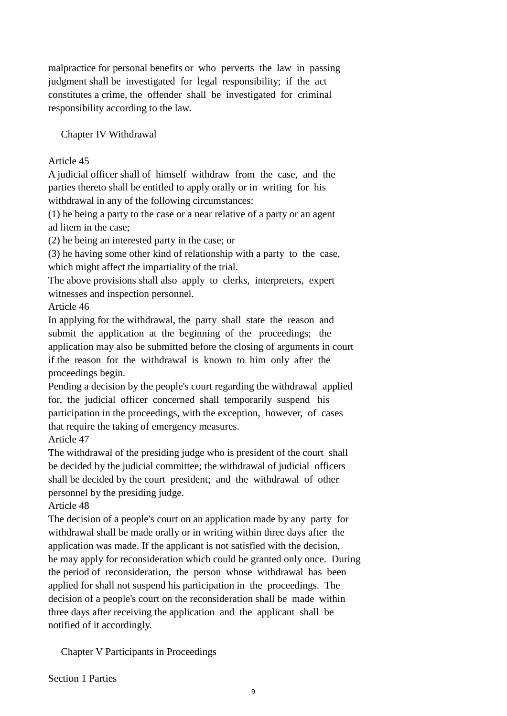malpractice for personal benefits or who perverts the law in passing judgment shall be investigated for legal responsibility; if the act constitutes a crime, the offender shall be investigated for criminal responsibility according to the law.

Chapter IV Withdrawal

## Article 45

A judicial officer shall of himself withdraw from the case, and the parties thereto shall be entitled to apply orally or in writing for his withdrawal in any of the following circumstances:

(1) he being a party to the case or a near relative of a party or an agent ad litem in the case;

(2) he being an interested party in the case; or

(3) he having some other kind of relationship with a party to the case, which might affect the impartiality of the trial.

The above provisions shall also apply to clerks, interpreters, expert witnesses and inspection personnel.

Article 46

In applying for the withdrawal, the party shall state the reason and submit the application at the beginning of the proceedings; the application may also be submitted before the closing of arguments in court if the reason for the withdrawal is known to him only after the proceedings begin.

Pending a decision by the people's court regarding the withdrawal applied for, the judicial officer concerned shall temporarily suspend his participation in the proceedings, with the exception, however, of cases that require the taking of emergency measures.

Article 47

The withdrawal of the presiding judge who is president of the court shall be decided by the judicial committee; the withdrawal of judicial officers shall be decided by the court president; and the withdrawal of other personnel by the presiding judge.

Article 48

The decision of a people's court on an application made by any party for withdrawal shall be made orally or in writing within three days after the application was made. If the applicant is not satisfied with the decision, he may apply for reconsideration which could be granted only once. During the period of reconsideration, the person whose withdrawal has been applied for shall not suspend his participation in the proceedings. The decision of a people's court on the reconsideration shall be made within three days after receiving the application and the applicant shall be notified of it accordingly.

Chapter V Participants in Proceedings

Section 1 Parties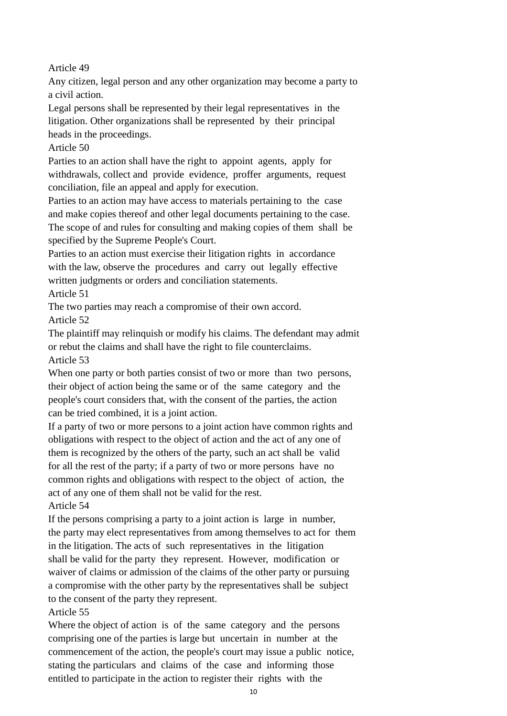Article 49

Any citizen, legal person and any other organization may become a party to a civil action.

Legal persons shall be represented by their legal representatives in the litigation. Other organizations shall be represented by their principal heads in the proceedings.

Article 50

Parties to an action shall have the right to appoint agents, apply for withdrawals, collect and provide evidence, proffer arguments, request conciliation, file an appeal and apply for execution.

Parties to an action may have access to materials pertaining to the case and make copies thereof and other legal documents pertaining to the case. The scope of and rules for consulting and making copies of them shall be

specified by the Supreme People's Court.

Parties to an action must exercise their litigation rights in accordance with the law, observe the procedures and carry out legally effective written judgments or orders and conciliation statements.

Article 51

The two parties may reach a compromise of their own accord. Article 52

The plaintiff may relinquish or modify his claims. The defendant may admit or rebut the claims and shall have the right to file counterclaims. Article 53

When one party or both parties consist of two or more than two persons, their object of action being the same or of the same category and the people's court considers that, with the consent of the parties, the action can be tried combined, it is a joint action.

If a party of two or more persons to a joint action have common rights and obligations with respect to the object of action and the act of any one of them is recognized by the others of the party, such an act shall be valid for all the rest of the party; if a party of two or more persons have no common rights and obligations with respect to the object of action, the act of any one of them shall not be valid for the rest.

Article 54

If the persons comprising a party to a joint action is large in number, the party may elect representatives from among themselves to act for them in the litigation. The acts of such representatives in the litigation shall be valid for the party they represent. However, modification or waiver of claims or admission of the claims of the other party or pursuing a compromise with the other party by the representatives shall be subject to the consent of the party they represent.

# Article 55

Where the object of action is of the same category and the persons comprising one of the parties is large but uncertain in number at the commencement of the action, the people's court may issue a public notice, stating the particulars and claims of the case and informing those entitled to participate in the action to register their rights with the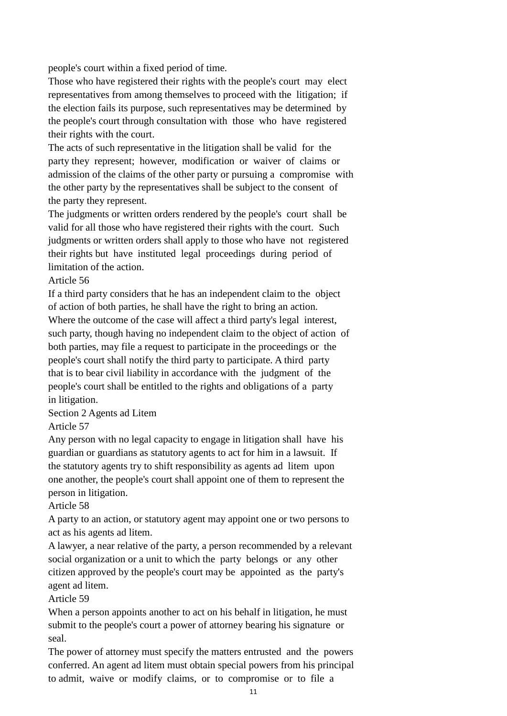people's court within a fixed period of time.

Those who have registered their rights with the people's court may elect representatives from among themselves to proceed with the litigation; if the election fails its purpose, such representatives may be determined by the people's court through consultation with those who have registered their rights with the court.

The acts of such representative in the litigation shall be valid for the party they represent; however, modification or waiver of claims or admission of the claims of the other party or pursuing a compromise with the other party by the representatives shall be subject to the consent of the party they represent.

The judgments or written orders rendered by the people's court shall be valid for all those who have registered their rights with the court. Such judgments or written orders shall apply to those who have not registered their rights but have instituted legal proceedings during period of limitation of the action.

## Article 56

If a third party considers that he has an independent claim to the object of action of both parties, he shall have the right to bring an action. Where the outcome of the case will affect a third party's legal interest, such party, though having no independent claim to the object of action of both parties, may file a request to participate in the proceedings or the people's court shall notify the third party to participate. A third party that is to bear civil liability in accordance with the judgment of the people's court shall be entitled to the rights and obligations of a party in litigation.

### Section 2 Agents ad Litem

Article 57

Any person with no legal capacity to engage in litigation shall have his guardian or guardians as statutory agents to act for him in a lawsuit. If the statutory agents try to shift responsibility as agents ad litem upon one another, the people's court shall appoint one of them to represent the person in litigation.

### Article 58

A party to an action, or statutory agent may appoint one or two persons to act as his agents ad litem.

A lawyer, a near relative of the party, a person recommended by a relevant social organization or a unit to which the party belongs or any other citizen approved by the people's court may be appointed as the party's agent ad litem.

# Article 59

When a person appoints another to act on his behalf in litigation, he must submit to the people's court a power of attorney bearing his signature or seal.

The power of attorney must specify the matters entrusted and the powers conferred. An agent ad litem must obtain special powers from his principal to admit, waive or modify claims, or to compromise or to file a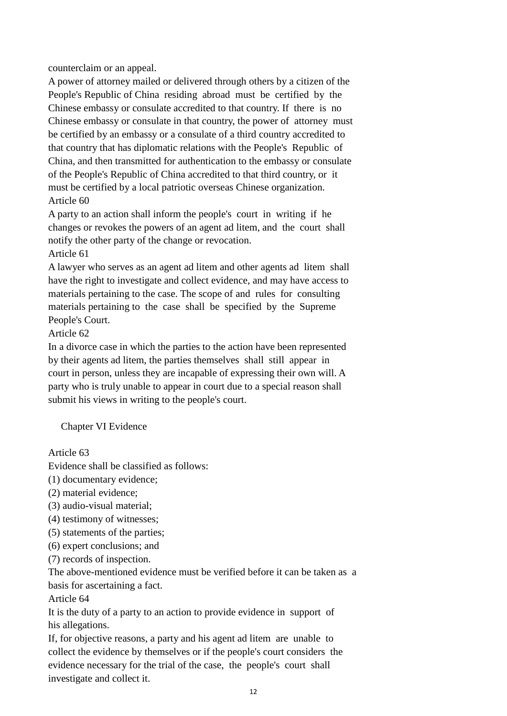counterclaim or an appeal.

A power of attorney mailed or delivered through others by a citizen of the People's Republic of China residing abroad must be certified by the Chinese embassy or consulate accredited to that country. If there is no Chinese embassy or consulate in that country, the power of attorney must be certified by an embassy or a consulate of a third country accredited to that country that has diplomatic relations with the People's Republic of China, and then transmitted for authentication to the embassy or consulate of the People's Republic of China accredited to that third country, or it must be certified by a local patriotic overseas Chinese organization. Article 60

A party to an action shall inform the people's court in writing if he changes or revokes the powers of an agent ad litem, and the court shall notify the other party of the change or revocation.

Article 61

A lawyer who serves as an agent ad litem and other agents ad litem shall have the right to investigate and collect evidence, and may have access to materials pertaining to the case. The scope of and rules for consulting materials pertaining to the case shall be specified by the Supreme People's Court.

Article 62

In a divorce case in which the parties to the action have been represented by their agents ad litem, the parties themselves shall still appear in court in person, unless they are incapable of expressing their own will. A party who is truly unable to appear in court due to a special reason shall submit his views in writing to the people's court.

Chapter VI Evidence

### Article 63

Evidence shall be classified as follows:

(1) documentary evidence;

- (2) material evidence;
- (3) audio-visual material;
- (4) testimony of witnesses;
- (5) statements of the parties;
- (6) expert conclusions; and
- (7) records of inspection.

The above-mentioned evidence must be verified before it can be taken as a basis for ascertaining a fact.

Article 64

It is the duty of a party to an action to provide evidence in support of his allegations.

If, for objective reasons, a party and his agent ad litem are unable to collect the evidence by themselves or if the people's court considers the evidence necessary for the trial of the case, the people's court shall investigate and collect it.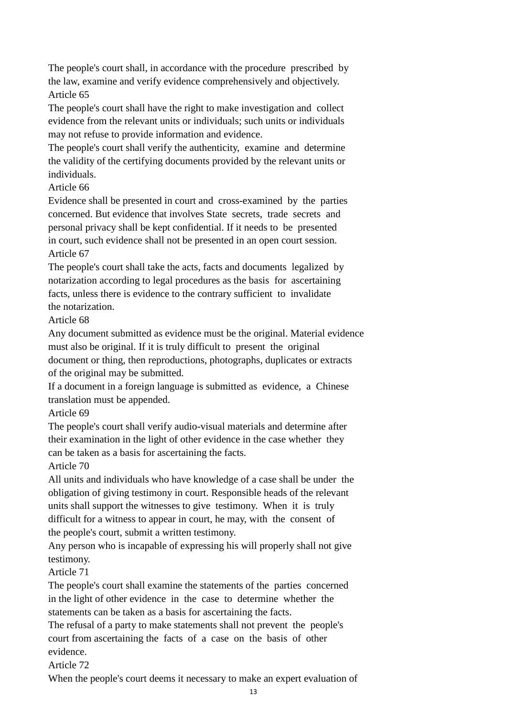The people's court shall, in accordance with the procedure prescribed by the law, examine and verify evidence comprehensively and objectively. Article 65

The people's court shall have the right to make investigation and collect evidence from the relevant units or individuals; such units or individuals may not refuse to provide information and evidence.

The people's court shall verify the authenticity, examine and determine the validity of the certifying documents provided by the relevant units or individuals.

Article 66

Evidence shall be presented in court and cross-examined by the parties concerned. But evidence that involves State secrets, trade secrets and personal privacy shall be kept confidential. If it needs to be presented in court, such evidence shall not be presented in an open court session. Article 67

The people's court shall take the acts, facts and documents legalized by notarization according to legal procedures as the basis for ascertaining facts, unless there is evidence to the contrary sufficient to invalidate the notarization.

Article 68

Any document submitted as evidence must be the original. Material evidence must also be original. If it is truly difficult to present the original document or thing, then reproductions, photographs, duplicates or extracts of the original may be submitted.

If a document in a foreign language is submitted as evidence, a Chinese translation must be appended.

Article 69

The people's court shall verify audio-visual materials and determine after their examination in the light of other evidence in the case whether they can be taken as a basis for ascertaining the facts.

Article 70

All units and individuals who have knowledge of a case shall be under the obligation of giving testimony in court. Responsible heads of the relevant units shall support the witnesses to give testimony. When it is truly difficult for a witness to appear in court, he may, with the consent of the people's court, submit a written testimony.

Any person who is incapable of expressing his will properly shall not give testimony.

Article 71

The people's court shall examine the statements of the parties concerned in the light of other evidence in the case to determine whether the statements can be taken as a basis for ascertaining the facts.

The refusal of a party to make statements shall not prevent the people's court from ascertaining the facts of a case on the basis of other evidence.

Article 72

When the people's court deems it necessary to make an expert evaluation of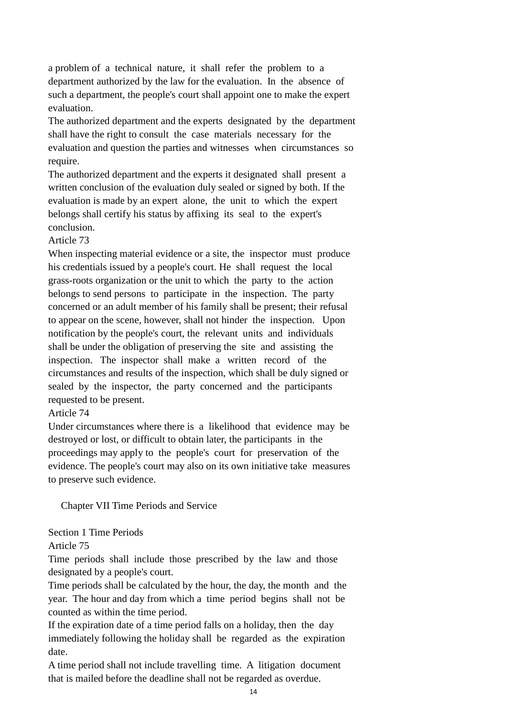a problem of a technical nature, it shall refer the problem to a department authorized by the law for the evaluation. In the absence of such a department, the people's court shall appoint one to make the expert evaluation.

The authorized department and the experts designated by the department shall have the right to consult the case materials necessary for the evaluation and question the parties and witnesses when circumstances so require.

The authorized department and the experts it designated shall present a written conclusion of the evaluation duly sealed or signed by both. If the evaluation is made by an expert alone, the unit to which the expert belongs shall certify his status by affixing its seal to the expert's conclusion.

### Article 73

When inspecting material evidence or a site, the inspector must produce his credentials issued by a people's court. He shall request the local grass-roots organization or the unit to which the party to the action belongs to send persons to participate in the inspection. The party concerned or an adult member of his family shall be present; their refusal to appear on the scene, however, shall not hinder the inspection. Upon notification by the people's court, the relevant units and individuals shall be under the obligation of preserving the site and assisting the inspection. The inspector shall make a written record of the circumstances and results of the inspection, which shall be duly signed or sealed by the inspector, the party concerned and the participants requested to be present.

### Article 74

Under circumstances where there is a likelihood that evidence may be destroyed or lost, or difficult to obtain later, the participants in the proceedings may apply to the people's court for preservation of the evidence. The people's court may also on its own initiative take measures to preserve such evidence.

Chapter VII Time Periods and Service

Section 1 Time Periods

Article 75

Time periods shall include those prescribed by the law and those designated by a people's court.

Time periods shall be calculated by the hour, the day, the month and the year. The hour and day from which a time period begins shall not be counted as within the time period.

If the expiration date of a time period falls on a holiday, then the day immediately following the holiday shall be regarded as the expiration date.

A time period shall not include travelling time. A litigation document that is mailed before the deadline shall not be regarded as overdue.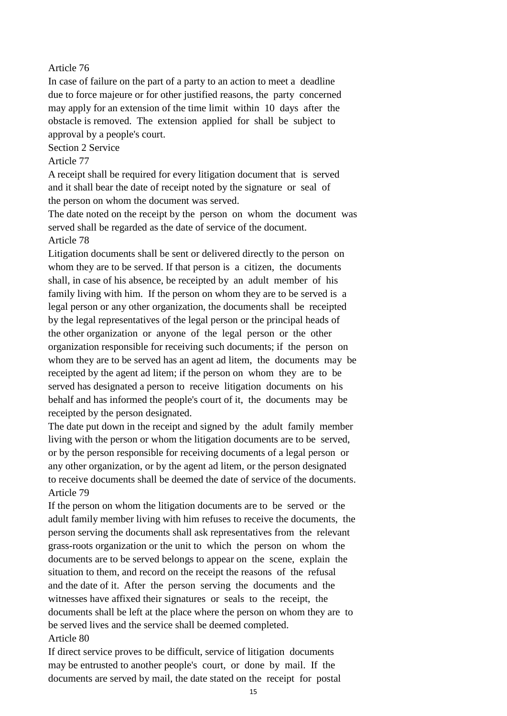### Article 76

In case of failure on the part of a party to an action to meet a deadline due to force majeure or for other justified reasons, the party concerned may apply for an extension of the time limit within 10 days after the obstacle is removed. The extension applied for shall be subject to approval by a people's court.

# Section 2 Service

### Article 77

A receipt shall be required for every litigation document that is served and it shall bear the date of receipt noted by the signature or seal of the person on whom the document was served.

The date noted on the receipt by the person on whom the document was served shall be regarded as the date of service of the document. Article 78

Litigation documents shall be sent or delivered directly to the person on whom they are to be served. If that person is a citizen, the documents shall, in case of his absence, be receipted by an adult member of his family living with him. If the person on whom they are to be served is a legal person or any other organization, the documents shall be receipted by the legal representatives of the legal person or the principal heads of the other organization or anyone of the legal person or the other organization responsible for receiving such documents; if the person on whom they are to be served has an agent ad litem, the documents may be receipted by the agent ad litem; if the person on whom they are to be served has designated a person to receive litigation documents on his behalf and has informed the people's court of it, the documents may be receipted by the person designated.

The date put down in the receipt and signed by the adult family member living with the person or whom the litigation documents are to be served, or by the person responsible for receiving documents of a legal person or any other organization, or by the agent ad litem, or the person designated to receive documents shall be deemed the date of service of the documents. Article 79

If the person on whom the litigation documents are to be served or the adult family member living with him refuses to receive the documents, the person serving the documents shall ask representatives from the relevant grass-roots organization or the unit to which the person on whom the documents are to be served belongs to appear on the scene, explain the situation to them, and record on the receipt the reasons of the refusal and the date of it. After the person serving the documents and the witnesses have affixed their signatures or seals to the receipt, the documents shall be left at the place where the person on whom they are to be served lives and the service shall be deemed completed. Article 80

If direct service proves to be difficult, service of litigation documents may be entrusted to another people's court, or done by mail. If the documents are served by mail, the date stated on the receipt for postal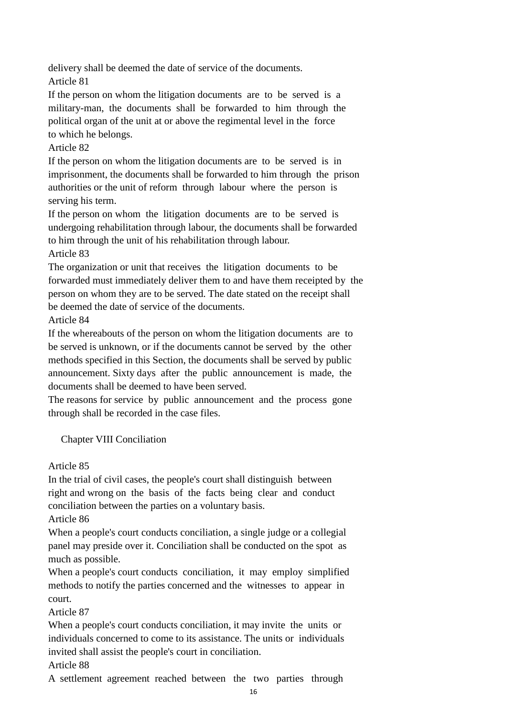delivery shall be deemed the date of service of the documents. Article 81

If the person on whom the litigation documents are to be served is a military-man, the documents shall be forwarded to him through the political organ of the unit at or above the regimental level in the force to which he belongs.

# Article 82

If the person on whom the litigation documents are to be served is in imprisonment, the documents shall be forwarded to him through the prison authorities or the unit of reform through labour where the person is serving his term.

If the person on whom the litigation documents are to be served is undergoing rehabilitation through labour, the documents shall be forwarded to him through the unit of his rehabilitation through labour. Article 83

The organization or unit that receives the litigation documents to be forwarded must immediately deliver them to and have them receipted by the person on whom they are to be served. The date stated on the receipt shall be deemed the date of service of the documents.

Article 84

If the whereabouts of the person on whom the litigation documents are to be served is unknown, or if the documents cannot be served by the other methods specified in this Section, the documents shall be served by public announcement. Sixty days after the public announcement is made, the documents shall be deemed to have been served.

The reasons for service by public announcement and the process gone through shall be recorded in the case files.

Chapter VIII Conciliation

Article 85

In the trial of civil cases, the people's court shall distinguish between right and wrong on the basis of the facts being clear and conduct conciliation between the parties on a voluntary basis.

Article 86

When a people's court conducts conciliation, a single judge or a collegial panel may preside over it. Conciliation shall be conducted on the spot as much as possible.

When a people's court conducts conciliation, it may employ simplified methods to notify the parties concerned and the witnesses to appear in court.

Article 87

When a people's court conducts conciliation, it may invite the units or individuals concerned to come to its assistance. The units or individuals invited shall assist the people's court in conciliation.

Article 88

A settlement agreement reached between the two parties through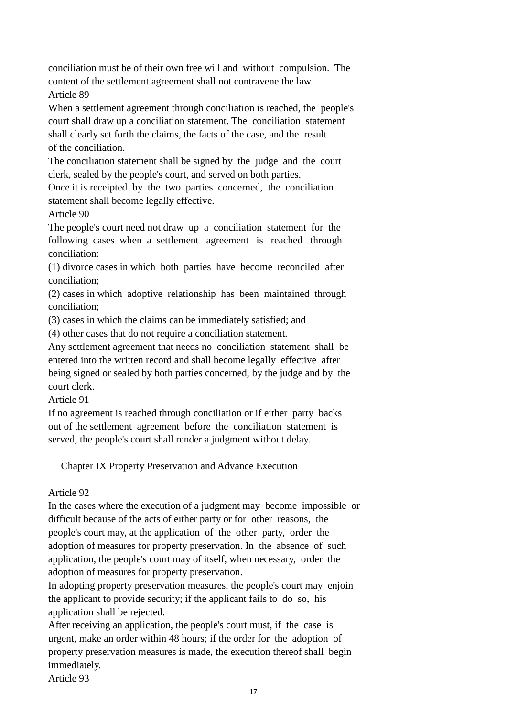conciliation must be of their own free will and without compulsion. The content of the settlement agreement shall not contravene the law. Article 89

When a settlement agreement through conciliation is reached, the people's court shall draw up a conciliation statement. The conciliation statement shall clearly set forth the claims, the facts of the case, and the result of the conciliation.

The conciliation statement shall be signed by the judge and the court clerk, sealed by the people's court, and served on both parties.

Once it is receipted by the two parties concerned, the conciliation statement shall become legally effective.

Article 90

The people's court need not draw up a conciliation statement for the following cases when a settlement agreement is reached through conciliation:

(1) divorce cases in which both parties have become reconciled after conciliation;

(2) cases in which adoptive relationship has been maintained through conciliation;

(3) cases in which the claims can be immediately satisfied; and

(4) other cases that do not require a conciliation statement.

Any settlement agreement that needs no conciliation statement shall be entered into the written record and shall become legally effective after being signed or sealed by both parties concerned, by the judge and by the court clerk.

Article 91

If no agreement is reached through conciliation or if either party backs out of the settlement agreement before the conciliation statement is served, the people's court shall render a judgment without delay.

Chapter IX Property Preservation and Advance Execution

# Article 92

In the cases where the execution of a judgment may become impossible or difficult because of the acts of either party or for other reasons, the people's court may, at the application of the other party, order the adoption of measures for property preservation. In the absence of such application, the people's court may of itself, when necessary, order the adoption of measures for property preservation.

In adopting property preservation measures, the people's court may enjoin the applicant to provide security; if the applicant fails to do so, his application shall be rejected.

After receiving an application, the people's court must, if the case is urgent, make an order within 48 hours; if the order for the adoption of property preservation measures is made, the execution thereof shall begin immediately.

Article 93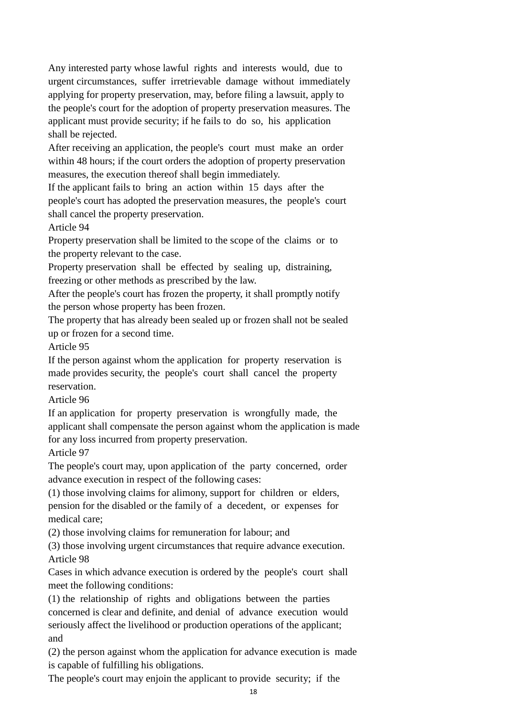Any interested party whose lawful rights and interests would, due to urgent circumstances, suffer irretrievable damage without immediately applying for property preservation, may, before filing a lawsuit, apply to the people's court for the adoption of property preservation measures. The applicant must provide security; if he fails to do so, his application shall be rejected.

After receiving an application, the people's court must make an order within 48 hours; if the court orders the adoption of property preservation measures, the execution thereof shall begin immediately.

If the applicant fails to bring an action within 15 days after the people's court has adopted the preservation measures, the people's court shall cancel the property preservation.

Article 94

Property preservation shall be limited to the scope of the claims or to the property relevant to the case.

Property preservation shall be effected by sealing up, distraining, freezing or other methods as prescribed by the law.

After the people's court has frozen the property, it shall promptly notify the person whose property has been frozen.

The property that has already been sealed up or frozen shall not be sealed up or frozen for a second time.

Article 95

If the person against whom the application for property reservation is made provides security, the people's court shall cancel the property reservation.

Article 96

If an application for property preservation is wrongfully made, the applicant shall compensate the person against whom the application is made for any loss incurred from property preservation.

Article 97

The people's court may, upon application of the party concerned, order advance execution in respect of the following cases:

(1) those involving claims for alimony, support for children or elders, pension for the disabled or the family of a decedent, or expenses for medical care;

(2) those involving claims for remuneration for labour; and

(3) those involving urgent circumstances that require advance execution. Article 98

Cases in which advance execution is ordered by the people's court shall meet the following conditions:

(1) the relationship of rights and obligations between the parties concerned is clear and definite, and denial of advance execution would seriously affect the livelihood or production operations of the applicant; and

(2) the person against whom the application for advance execution is made is capable of fulfilling his obligations.

The people's court may enjoin the applicant to provide security; if the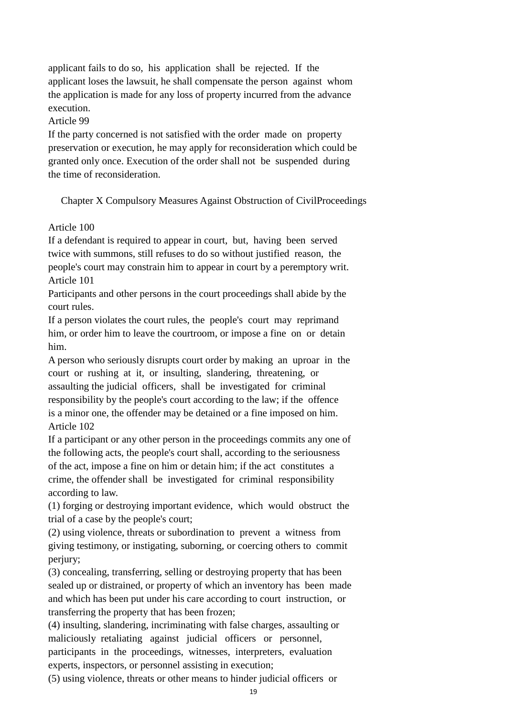applicant fails to do so, his application shall be rejected. If the applicant loses the lawsuit, he shall compensate the person against whom the application is made for any loss of property incurred from the advance execution.

### Article 99

If the party concerned is not satisfied with the order made on property preservation or execution, he may apply for reconsideration which could be granted only once. Execution of the order shall not be suspended during the time of reconsideration.

# Chapter X Compulsory Measures Against Obstruction of CivilProceedings

## Article 100

If a defendant is required to appear in court, but, having been served twice with summons, still refuses to do so without justified reason, the people's court may constrain him to appear in court by a peremptory writ. Article 101

Participants and other persons in the court proceedings shall abide by the court rules.

If a person violates the court rules, the people's court may reprimand him, or order him to leave the courtroom, or impose a fine on or detain him.

A person who seriously disrupts court order by making an uproar in the court or rushing at it, or insulting, slandering, threatening, or assaulting the judicial officers, shall be investigated for criminal responsibility by the people's court according to the law; if the offence is a minor one, the offender may be detained or a fine imposed on him. Article 102

If a participant or any other person in the proceedings commits any one of the following acts, the people's court shall, according to the seriousness of the act, impose a fine on him or detain him; if the act constitutes a crime, the offender shall be investigated for criminal responsibility according to law.

(1) forging or destroying important evidence, which would obstruct the trial of a case by the people's court;

(2) using violence, threats or subordination to prevent a witness from giving testimony, or instigating, suborning, or coercing others to commit perjury;

(3) concealing, transferring, selling or destroying property that has been sealed up or distrained, or property of which an inventory has been made and which has been put under his care according to court instruction, or transferring the property that has been frozen;

(4) insulting, slandering, incriminating with false charges, assaulting or maliciously retaliating against judicial officers or personnel, participants in the proceedings, witnesses, interpreters, evaluation experts, inspectors, or personnel assisting in execution;

(5) using violence, threats or other means to hinder judicial officers or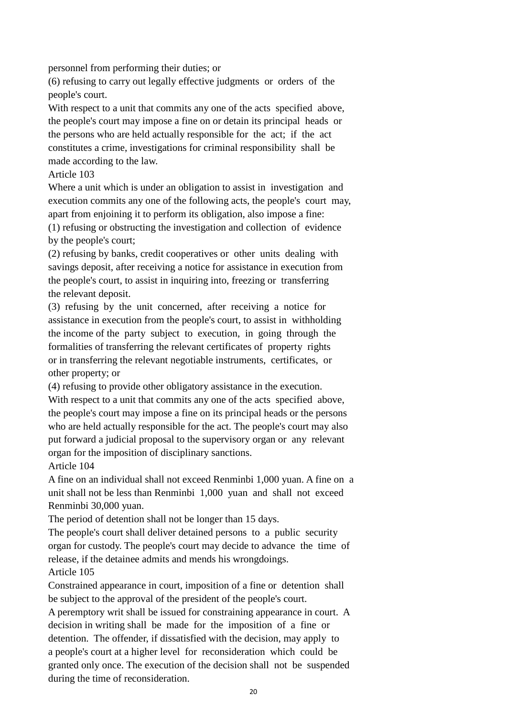personnel from performing their duties; or

(6) refusing to carry out legally effective judgments or orders of the people's court.

With respect to a unit that commits any one of the acts specified above, the people's court may impose a fine on or detain its principal heads or the persons who are held actually responsible for the act; if the act constitutes a crime, investigations for criminal responsibility shall be made according to the law.

Article 103

Where a unit which is under an obligation to assist in investigation and execution commits any one of the following acts, the people's court may, apart from enjoining it to perform its obligation, also impose a fine:

(1) refusing or obstructing the investigation and collection of evidence by the people's court;

(2) refusing by banks, credit cooperatives or other units dealing with savings deposit, after receiving a notice for assistance in execution from the people's court, to assist in inquiring into, freezing or transferring the relevant deposit.

(3) refusing by the unit concerned, after receiving a notice for assistance in execution from the people's court, to assist in withholding the income of the party subject to execution, in going through the formalities of transferring the relevant certificates of property rights or in transferring the relevant negotiable instruments, certificates, or other property; or

(4) refusing to provide other obligatory assistance in the execution. With respect to a unit that commits any one of the acts specified above, the people's court may impose a fine on its principal heads or the persons who are held actually responsible for the act. The people's court may also put forward a judicial proposal to the supervisory organ or any relevant organ for the imposition of disciplinary sanctions.

Article 104

A fine on an individual shall not exceed Renminbi 1,000 yuan. A fine on a unit shall not be less than Renminbi 1,000 yuan and shall not exceed Renminbi 30,000 yuan.

The period of detention shall not be longer than 15 days.

The people's court shall deliver detained persons to a public security organ for custody. The people's court may decide to advance the time of release, if the detainee admits and mends his wrongdoings. Article 105

Constrained appearance in court, imposition of a fine or detention shall be subject to the approval of the president of the people's court.

A peremptory writ shall be issued for constraining appearance in court. A decision in writing shall be made for the imposition of a fine or detention. The offender, if dissatisfied with the decision, may apply to a people's court at a higher level for reconsideration which could be granted only once. The execution of the decision shall not be suspended during the time of reconsideration.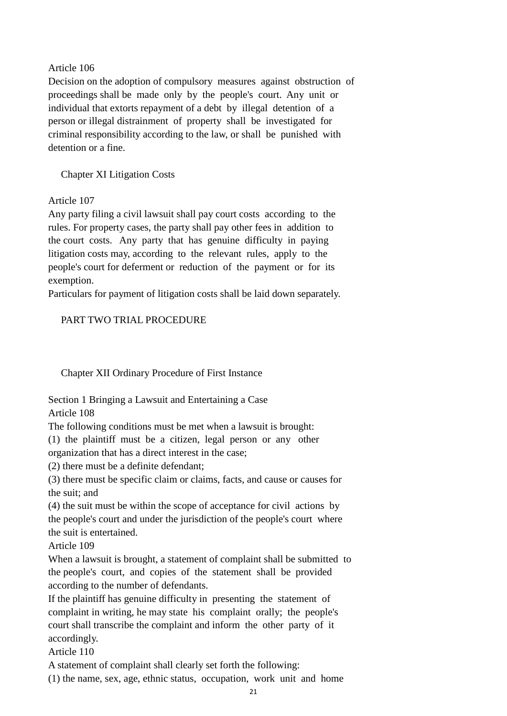## Article 106

Decision on the adoption of compulsory measures against obstruction of proceedings shall be made only by the people's court. Any unit or individual that extorts repayment of a debt by illegal detention of a person or illegal distrainment of property shall be investigated for criminal responsibility according to the law, or shall be punished with detention or a fine.

Chapter XI Litigation Costs

Article 107

Any party filing a civil lawsuit shall pay court costs according to the rules. For property cases, the party shall pay other fees in addition to the court costs. Any party that has genuine difficulty in paying litigation costs may, according to the relevant rules, apply to the people's court for deferment or reduction of the payment or for its exemption.

Particulars for payment of litigation costs shall be laid down separately.

# PART TWO TRIAL PROCEDURE

Chapter XII Ordinary Procedure of First Instance

Section 1 Bringing a Lawsuit and Entertaining a Case Article 108

The following conditions must be met when a lawsuit is brought:

(1) the plaintiff must be a citizen, legal person or any other organization that has a direct interest in the case;

(2) there must be a definite defendant;

(3) there must be specific claim or claims, facts, and cause or causes for the suit; and

(4) the suit must be within the scope of acceptance for civil actions by the people's court and under the jurisdiction of the people's court where the suit is entertained.

Article 109

When a lawsuit is brought, a statement of complaint shall be submitted to the people's court, and copies of the statement shall be provided according to the number of defendants.

If the plaintiff has genuine difficulty in presenting the statement of complaint in writing, he may state his complaint orally; the people's court shall transcribe the complaint and inform the other party of it accordingly.

Article 110

A statement of complaint shall clearly set forth the following:

(1) the name, sex, age, ethnic status, occupation, work unit and home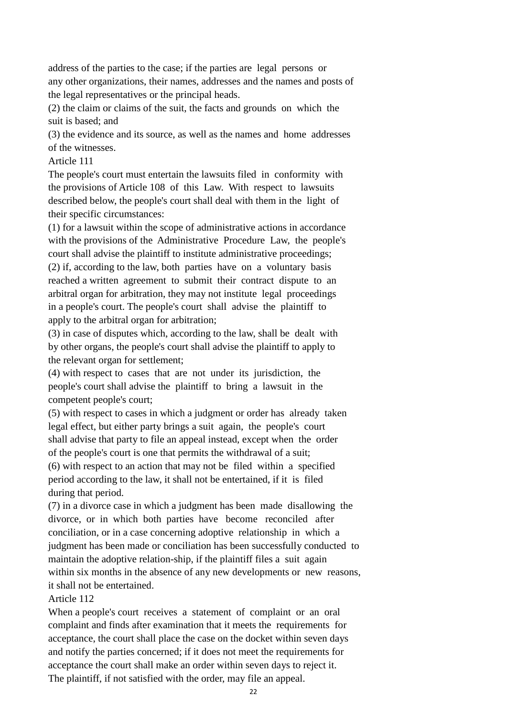address of the parties to the case; if the parties are legal persons or any other organizations, their names, addresses and the names and posts of the legal representatives or the principal heads.

(2) the claim or claims of the suit, the facts and grounds on which the suit is based; and

(3) the evidence and its source, as well as the names and home addresses of the witnesses.

Article 111

The people's court must entertain the lawsuits filed in conformity with the provisions of Article 108 of this Law. With respect to lawsuits described below, the people's court shall deal with them in the light of their specific circumstances:

(1) for a lawsuit within the scope of administrative actions in accordance with the provisions of the Administrative Procedure Law, the people's court shall advise the plaintiff to institute administrative proceedings; (2) if, according to the law, both parties have on a voluntary basis reached a written agreement to submit their contract dispute to an arbitral organ for arbitration, they may not institute legal proceedings in a people's court. The people's court shall advise the plaintiff to apply to the arbitral organ for arbitration;

(3) in case of disputes which, according to the law, shall be dealt with by other organs, the people's court shall advise the plaintiff to apply to the relevant organ for settlement;

(4) with respect to cases that are not under its jurisdiction, the people's court shall advise the plaintiff to bring a lawsuit in the competent people's court;

(5) with respect to cases in which a judgment or order has already taken legal effect, but either party brings a suit again, the people's court shall advise that party to file an appeal instead, except when the order of the people's court is one that permits the withdrawal of a suit;

(6) with respect to an action that may not be filed within a specified period according to the law, it shall not be entertained, if it is filed during that period.

(7) in a divorce case in which a judgment has been made disallowing the divorce, or in which both parties have become reconciled after conciliation, or in a case concerning adoptive relationship in which a judgment has been made or conciliation has been successfully conducted to maintain the adoptive relation-ship, if the plaintiff files a suit again within six months in the absence of any new developments or new reasons, it shall not be entertained.

### Article 112

When a people's court receives a statement of complaint or an oral complaint and finds after examination that it meets the requirements for acceptance, the court shall place the case on the docket within seven days and notify the parties concerned; if it does not meet the requirements for acceptance the court shall make an order within seven days to reject it. The plaintiff, if not satisfied with the order, may file an appeal.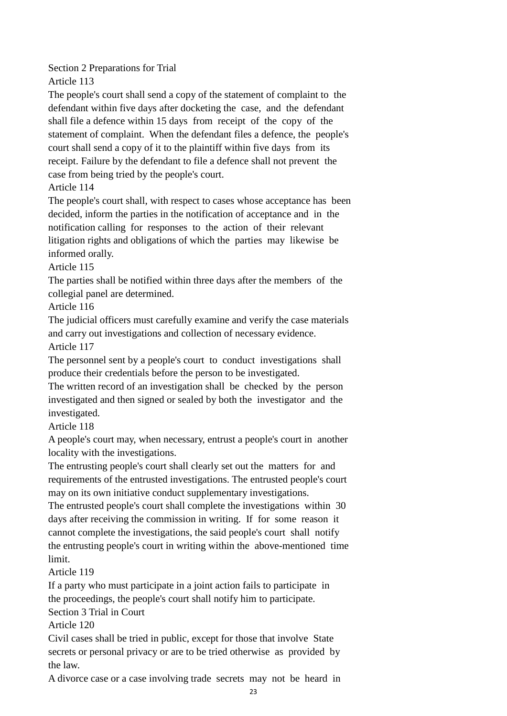Section 2 Preparations for Trial

Article 113

The people's court shall send a copy of the statement of complaint to the defendant within five days after docketing the case, and the defendant shall file a defence within 15 days from receipt of the copy of the statement of complaint. When the defendant files a defence, the people's court shall send a copy of it to the plaintiff within five days from its receipt. Failure by the defendant to file a defence shall not prevent the case from being tried by the people's court.

Article 114

The people's court shall, with respect to cases whose acceptance has been decided, inform the parties in the notification of acceptance and in the notification calling for responses to the action of their relevant litigation rights and obligations of which the parties may likewise be informed orally.

Article 115

The parties shall be notified within three days after the members of the collegial panel are determined.

Article 116

The judicial officers must carefully examine and verify the case materials and carry out investigations and collection of necessary evidence.

Article 117

The personnel sent by a people's court to conduct investigations shall produce their credentials before the person to be investigated.

The written record of an investigation shall be checked by the person investigated and then signed or sealed by both the investigator and the investigated.

Article 118

A people's court may, when necessary, entrust a people's court in another locality with the investigations.

The entrusting people's court shall clearly set out the matters for and requirements of the entrusted investigations. The entrusted people's court may on its own initiative conduct supplementary investigations.

The entrusted people's court shall complete the investigations within 30 days after receiving the commission in writing. If for some reason it cannot complete the investigations, the said people's court shall notify the entrusting people's court in writing within the above-mentioned time limit.

Article 119

If a party who must participate in a joint action fails to participate in the proceedings, the people's court shall notify him to participate. Section 3 Trial in Court

Article 120

Civil cases shall be tried in public, except for those that involve State secrets or personal privacy or are to be tried otherwise as provided by the law.

A divorce case or a case involving trade secrets may not be heard in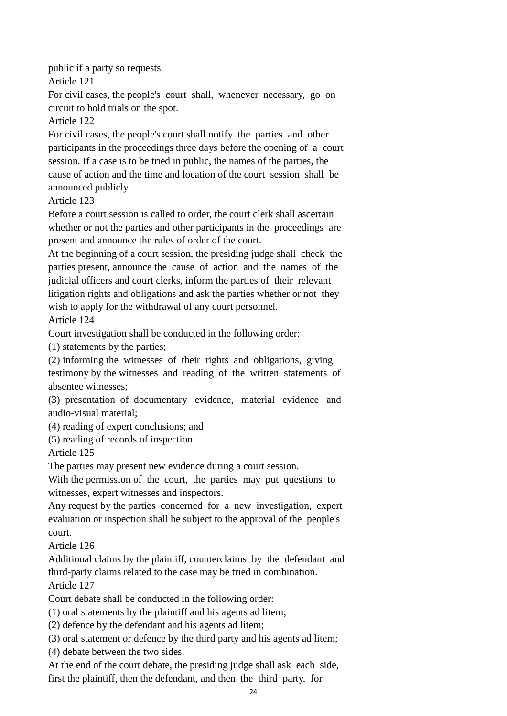public if a party so requests.

Article 121

For civil cases, the people's court shall, whenever necessary, go on circuit to hold trials on the spot.

Article 122

For civil cases, the people's court shall notify the parties and other participants in the proceedings three days before the opening of a court session. If a case is to be tried in public, the names of the parties, the cause of action and the time and location of the court session shall be announced publicly.

Article 123

Before a court session is called to order, the court clerk shall ascertain whether or not the parties and other participants in the proceedings are present and announce the rules of order of the court.

At the beginning of a court session, the presiding judge shall check the parties present, announce the cause of action and the names of the judicial officers and court clerks, inform the parties of their relevant litigation rights and obligations and ask the parties whether or not they wish to apply for the withdrawal of any court personnel.

Article 124

Court investigation shall be conducted in the following order:

(1) statements by the parties;

(2) informing the witnesses of their rights and obligations, giving testimony by the witnesses and reading of the written statements of absentee witnesses;

(3) presentation of documentary evidence, material evidence and audio-visual material;

(4) reading of expert conclusions; and

(5) reading of records of inspection.

Article 125

The parties may present new evidence during a court session.

With the permission of the court, the parties may put questions to witnesses, expert witnesses and inspectors.

Any request by the parties concerned for a new investigation, expert evaluation or inspection shall be subject to the approval of the people's court.

Article 126

Additional claims by the plaintiff, counterclaims by the defendant and third-party claims related to the case may be tried in combination. Article 127

Court debate shall be conducted in the following order:

(1) oral statements by the plaintiff and his agents ad litem;

(2) defence by the defendant and his agents ad litem;

(3) oral statement or defence by the third party and his agents ad litem;

(4) debate between the two sides.

At the end of the court debate, the presiding judge shall ask each side, first the plaintiff, then the defendant, and then the third party, for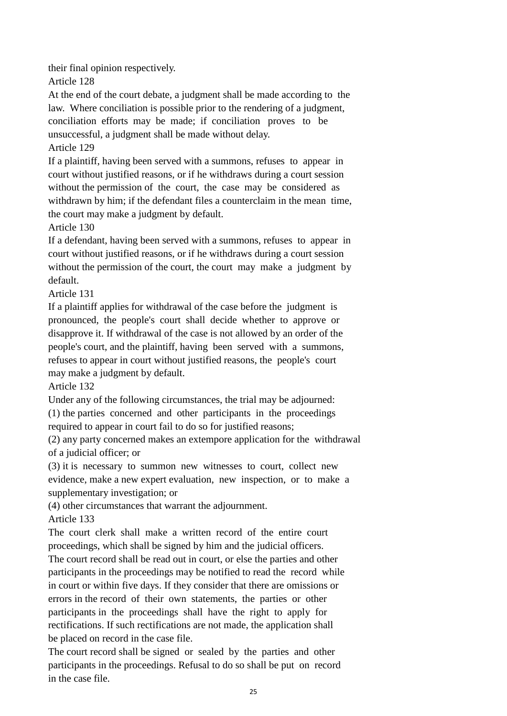their final opinion respectively.

Article 128

At the end of the court debate, a judgment shall be made according to the law. Where conciliation is possible prior to the rendering of a judgment, conciliation efforts may be made; if conciliation proves to be unsuccessful, a judgment shall be made without delay. Article 129

If a plaintiff, having been served with a summons, refuses to appear in court without justified reasons, or if he withdraws during a court session without the permission of the court, the case may be considered as withdrawn by him; if the defendant files a counterclaim in the mean time, the court may make a judgment by default.

Article 130

If a defendant, having been served with a summons, refuses to appear in court without justified reasons, or if he withdraws during a court session without the permission of the court, the court may make a judgment by default.

Article 131

If a plaintiff applies for withdrawal of the case before the judgment is pronounced, the people's court shall decide whether to approve or disapprove it. If withdrawal of the case is not allowed by an order of the people's court, and the plaintiff, having been served with a summons, refuses to appear in court without justified reasons, the people's court may make a judgment by default.

Article 132

Under any of the following circumstances, the trial may be adjourned: (1) the parties concerned and other participants in the proceedings required to appear in court fail to do so for justified reasons;

(2) any party concerned makes an extempore application for the withdrawal of a judicial officer; or

(3) it is necessary to summon new witnesses to court, collect new evidence, make a new expert evaluation, new inspection, or to make a supplementary investigation; or

(4) other circumstances that warrant the adjournment.

Article 133

The court clerk shall make a written record of the entire court proceedings, which shall be signed by him and the judicial officers.

The court record shall be read out in court, or else the parties and other participants in the proceedings may be notified to read the record while in court or within five days. If they consider that there are omissions or errors in the record of their own statements, the parties or other participants in the proceedings shall have the right to apply for rectifications. If such rectifications are not made, the application shall be placed on record in the case file.

The court record shall be signed or sealed by the parties and other participants in the proceedings. Refusal to do so shall be put on record in the case file.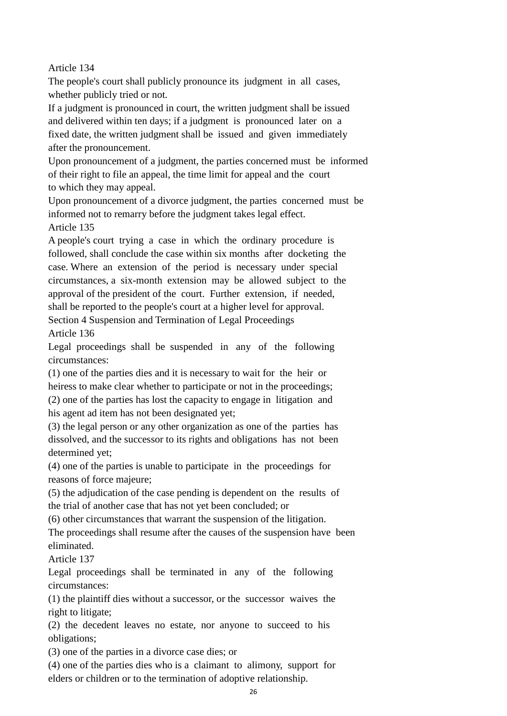Article 134

The people's court shall publicly pronounce its judgment in all cases, whether publicly tried or not.

If a judgment is pronounced in court, the written judgment shall be issued and delivered within ten days; if a judgment is pronounced later on a fixed date, the written judgment shall be issued and given immediately after the pronouncement.

Upon pronouncement of a judgment, the parties concerned must be informed of their right to file an appeal, the time limit for appeal and the court to which they may appeal.

Upon pronouncement of a divorce judgment, the parties concerned must be informed not to remarry before the judgment takes legal effect. Article 135

A people's court trying a case in which the ordinary procedure is followed, shall conclude the case within six months after docketing the case. Where an extension of the period is necessary under special circumstances, a six-month extension may be allowed subject to the approval of the president of the court. Further extension, if needed, shall be reported to the people's court at a higher level for approval. Section 4 Suspension and Termination of Legal Proceedings

Article 136

Legal proceedings shall be suspended in any of the following circumstances:

(1) one of the parties dies and it is necessary to wait for the heir or heiress to make clear whether to participate or not in the proceedings: (2) one of the parties has lost the capacity to engage in litigation and his agent ad item has not been designated yet;

(3) the legal person or any other organization as one of the parties has dissolved, and the successor to its rights and obligations has not been determined yet;

(4) one of the parties is unable to participate in the proceedings for reasons of force majeure;

(5) the adjudication of the case pending is dependent on the results of the trial of another case that has not yet been concluded; or

(6) other circumstances that warrant the suspension of the litigation.

The proceedings shall resume after the causes of the suspension have been eliminated.

Article 137

Legal proceedings shall be terminated in any of the following circumstances:

(1) the plaintiff dies without a successor, or the successor waives the right to litigate;

(2) the decedent leaves no estate, nor anyone to succeed to his obligations;

(3) one of the parties in a divorce case dies; or

(4) one of the parties dies who is a claimant to alimony, support for elders or children or to the termination of adoptive relationship.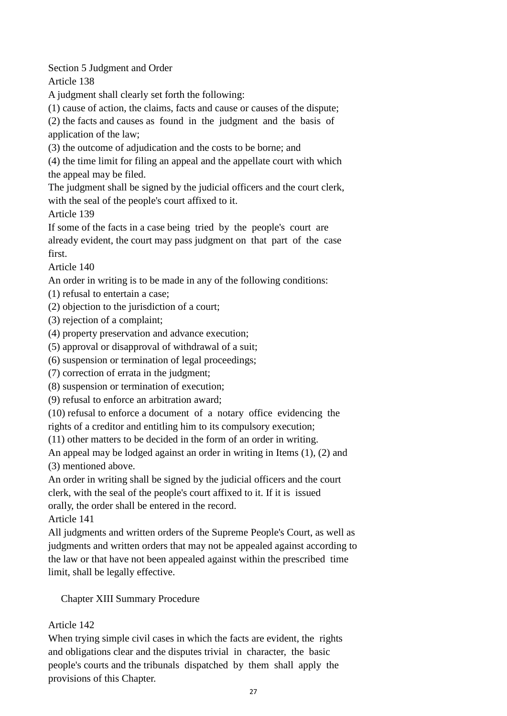Section 5 Judgment and Order

Article 138

A judgment shall clearly set forth the following:

(1) cause of action, the claims, facts and cause or causes of the dispute;

(2) the facts and causes as found in the judgment and the basis of application of the law;

(3) the outcome of adjudication and the costs to be borne; and

(4) the time limit for filing an appeal and the appellate court with which the appeal may be filed.

The judgment shall be signed by the judicial officers and the court clerk, with the seal of the people's court affixed to it.

Article 139

If some of the facts in a case being tried by the people's court are already evident, the court may pass judgment on that part of the case first.

Article 140

An order in writing is to be made in any of the following conditions:

- (1) refusal to entertain a case;
- (2) objection to the jurisdiction of a court;

(3) rejection of a complaint;

(4) property preservation and advance execution;

(5) approval or disapproval of withdrawal of a suit;

(6) suspension or termination of legal proceedings;

(7) correction of errata in the judgment;

(8) suspension or termination of execution;

(9) refusal to enforce an arbitration award;

(10) refusal to enforce a document of a notary office evidencing the rights of a creditor and entitling him to its compulsory execution;

(11) other matters to be decided in the form of an order in writing.

An appeal may be lodged against an order in writing in Items (1), (2) and (3) mentioned above.

An order in writing shall be signed by the judicial officers and the court clerk, with the seal of the people's court affixed to it. If it is issued orally, the order shall be entered in the record.

Article 141

All judgments and written orders of the Supreme People's Court, as well as judgments and written orders that may not be appealed against according to the law or that have not been appealed against within the prescribed time limit, shall be legally effective.

Chapter XIII Summary Procedure

# Article 142

When trying simple civil cases in which the facts are evident, the rights and obligations clear and the disputes trivial in character, the basic people's courts and the tribunals dispatched by them shall apply the provisions of this Chapter.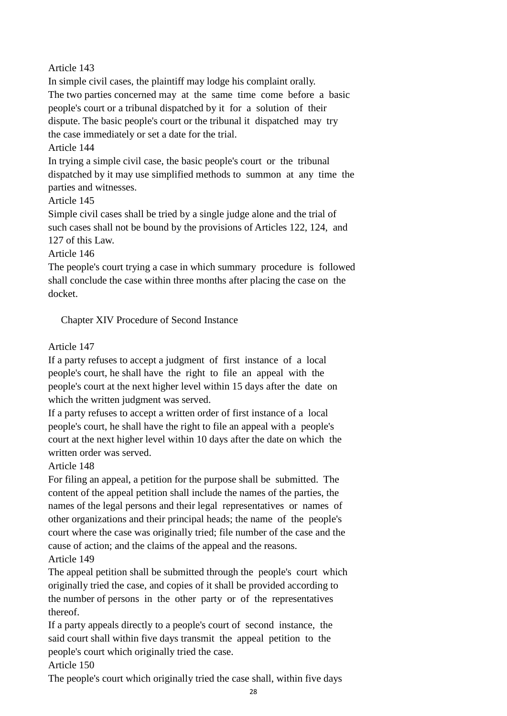# Article 143

In simple civil cases, the plaintiff may lodge his complaint orally. The two parties concerned may at the same time come before a basic people's court or a tribunal dispatched by it for a solution of their dispute. The basic people's court or the tribunal it dispatched may try the case immediately or set a date for the trial.

# Article 144

In trying a simple civil case, the basic people's court or the tribunal dispatched by it may use simplified methods to summon at any time the parties and witnesses.

# Article 145

Simple civil cases shall be tried by a single judge alone and the trial of such cases shall not be bound by the provisions of Articles 122, 124, and 127 of this Law.

# Article 146

The people's court trying a case in which summary procedure is followed shall conclude the case within three months after placing the case on the docket.

Chapter XIV Procedure of Second Instance

# Article 147

If a party refuses to accept a judgment of first instance of a local people's court, he shall have the right to file an appeal with the people's court at the next higher level within 15 days after the date on which the written judgment was served.

If a party refuses to accept a written order of first instance of a local people's court, he shall have the right to file an appeal with a people's court at the next higher level within 10 days after the date on which the written order was served.

# Article 148

For filing an appeal, a petition for the purpose shall be submitted. The content of the appeal petition shall include the names of the parties, the names of the legal persons and their legal representatives or names of other organizations and their principal heads; the name of the people's court where the case was originally tried; file number of the case and the cause of action; and the claims of the appeal and the reasons. Article 149

The appeal petition shall be submitted through the people's court which originally tried the case, and copies of it shall be provided according to the number of persons in the other party or of the representatives thereof.

If a party appeals directly to a people's court of second instance, the said court shall within five days transmit the appeal petition to the people's court which originally tried the case.

Article 150

The people's court which originally tried the case shall, within five days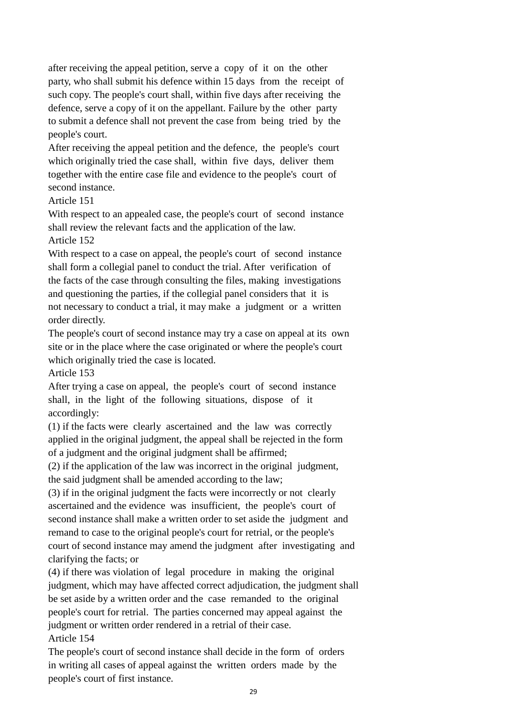after receiving the appeal petition, serve a copy of it on the other party, who shall submit his defence within 15 days from the receipt of such copy. The people's court shall, within five days after receiving the defence, serve a copy of it on the appellant. Failure by the other party to submit a defence shall not prevent the case from being tried by the people's court.

After receiving the appeal petition and the defence, the people's court which originally tried the case shall, within five days, deliver them together with the entire case file and evidence to the people's court of second instance.

Article 151

With respect to an appealed case, the people's court of second instance shall review the relevant facts and the application of the law.

Article 152

With respect to a case on appeal, the people's court of second instance shall form a collegial panel to conduct the trial. After verification of the facts of the case through consulting the files, making investigations and questioning the parties, if the collegial panel considers that it is not necessary to conduct a trial, it may make a judgment or a written order directly.

The people's court of second instance may try a case on appeal at its own site or in the place where the case originated or where the people's court which originally tried the case is located.

Article 153

After trying a case on appeal, the people's court of second instance shall, in the light of the following situations, dispose of it accordingly:

(1) if the facts were clearly ascertained and the law was correctly applied in the original judgment, the appeal shall be rejected in the form of a judgment and the original judgment shall be affirmed;

(2) if the application of the law was incorrect in the original judgment, the said judgment shall be amended according to the law;

(3) if in the original judgment the facts were incorrectly or not clearly ascertained and the evidence was insufficient, the people's court of second instance shall make a written order to set aside the judgment and remand to case to the original people's court for retrial, or the people's court of second instance may amend the judgment after investigating and clarifying the facts; or

(4) if there was violation of legal procedure in making the original judgment, which may have affected correct adjudication, the judgment shall be set aside by a written order and the case remanded to the original people's court for retrial. The parties concerned may appeal against the judgment or written order rendered in a retrial of their case. Article 154

The people's court of second instance shall decide in the form of orders in writing all cases of appeal against the written orders made by the people's court of first instance.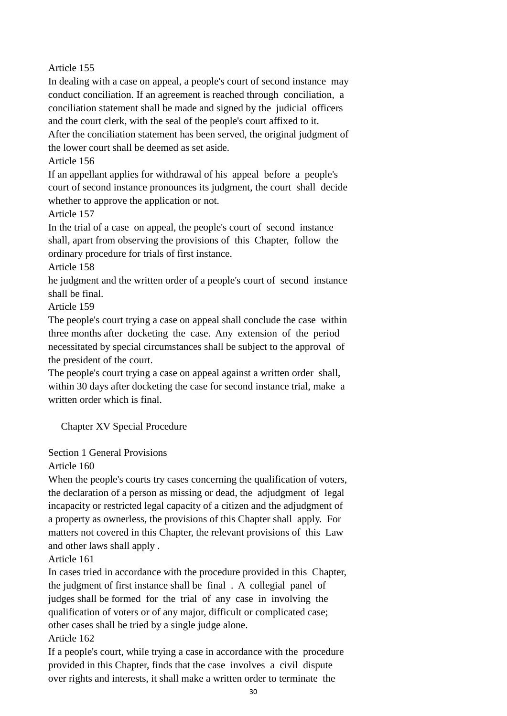Article 155

In dealing with a case on appeal, a people's court of second instance may conduct conciliation. If an agreement is reached through conciliation, a conciliation statement shall be made and signed by the judicial officers and the court clerk, with the seal of the people's court affixed to it.

After the conciliation statement has been served, the original judgment of the lower court shall be deemed as set aside.

Article 156

If an appellant applies for withdrawal of his appeal before a people's court of second instance pronounces its judgment, the court shall decide whether to approve the application or not.

Article 157

In the trial of a case on appeal, the people's court of second instance shall, apart from observing the provisions of this Chapter, follow the ordinary procedure for trials of first instance.

Article 158

he judgment and the written order of a people's court of second instance shall be final.

Article 159

The people's court trying a case on appeal shall conclude the case within three months after docketing the case. Any extension of the period necessitated by special circumstances shall be subject to the approval of the president of the court.

The people's court trying a case on appeal against a written order shall, within 30 days after docketing the case for second instance trial, make a written order which is final.

Chapter XV Special Procedure

Section 1 General Provisions

Article 160

When the people's courts try cases concerning the qualification of voters, the declaration of a person as missing or dead, the adjudgment of legal incapacity or restricted legal capacity of a citizen and the adjudgment of a property as ownerless, the provisions of this Chapter shall apply. For matters not covered in this Chapter, the relevant provisions of this Law and other laws shall apply .

# Article 161

In cases tried in accordance with the procedure provided in this Chapter, the judgment of first instance shall be final . A collegial panel of judges shall be formed for the trial of any case in involving the qualification of voters or of any major, difficult or complicated case; other cases shall be tried by a single judge alone.

# Article 162

If a people's court, while trying a case in accordance with the procedure provided in this Chapter, finds that the case involves a civil dispute over rights and interests, it shall make a written order to terminate the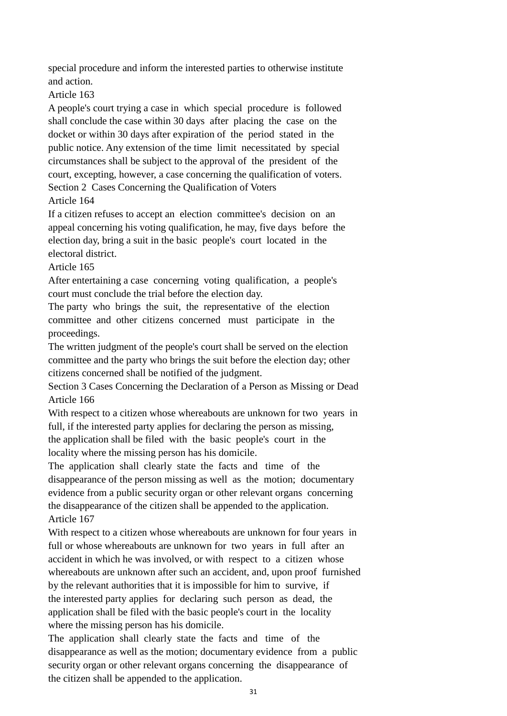special procedure and inform the interested parties to otherwise institute and action.

Article 163

A people's court trying a case in which special procedure is followed shall conclude the case within 30 days after placing the case on the docket or within 30 days after expiration of the period stated in the public notice. Any extension of the time limit necessitated by special circumstances shall be subject to the approval of the president of the court, excepting, however, a case concerning the qualification of voters. Section 2 Cases Concerning the Qualification of Voters Article 164

If a citizen refuses to accept an election committee's decision on an appeal concerning his voting qualification, he may, five days before the election day, bring a suit in the basic people's court located in the electoral district.

## Article 165

After entertaining a case concerning voting qualification, a people's court must conclude the trial before the election day.

The party who brings the suit, the representative of the election committee and other citizens concerned must participate in the proceedings.

The written judgment of the people's court shall be served on the election committee and the party who brings the suit before the election day; other citizens concerned shall be notified of the judgment.

Section 3 Cases Concerning the Declaration of a Person as Missing or Dead Article 166

With respect to a citizen whose whereabouts are unknown for two years in full, if the interested party applies for declaring the person as missing,

the application shall be filed with the basic people's court in the locality where the missing person has his domicile.

The application shall clearly state the facts and time of the disappearance of the person missing as well as the motion; documentary evidence from a public security organ or other relevant organs concerning the disappearance of the citizen shall be appended to the application. Article 167

With respect to a citizen whose whereabouts are unknown for four years in full or whose whereabouts are unknown for two years in full after an accident in which he was involved, or with respect to a citizen whose whereabouts are unknown after such an accident, and, upon proof furnished by the relevant authorities that it is impossible for him to survive, if the interested party applies for declaring such person as dead, the application shall be filed with the basic people's court in the locality where the missing person has his domicile.

The application shall clearly state the facts and time of the disappearance as well as the motion; documentary evidence from a public security organ or other relevant organs concerning the disappearance of the citizen shall be appended to the application.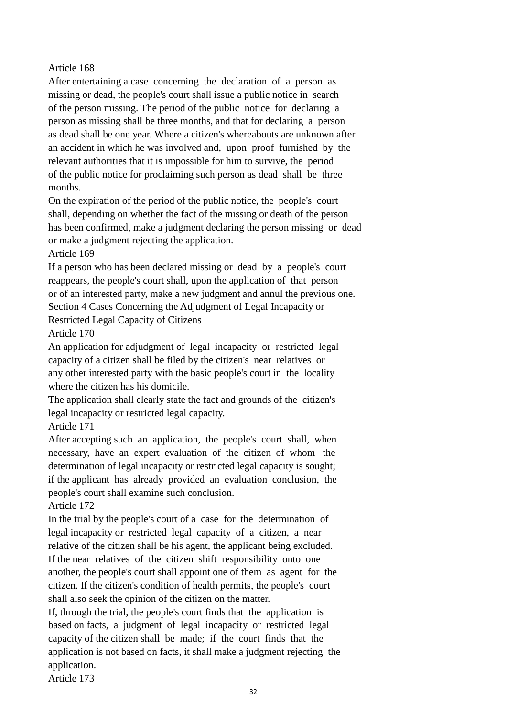## Article 168

After entertaining a case concerning the declaration of a person as missing or dead, the people's court shall issue a public notice in search of the person missing. The period of the public notice for declaring a person as missing shall be three months, and that for declaring a person as dead shall be one year. Where a citizen's whereabouts are unknown after an accident in which he was involved and, upon proof furnished by the relevant authorities that it is impossible for him to survive, the period of the public notice for proclaiming such person as dead shall be three months.

On the expiration of the period of the public notice, the people's court shall, depending on whether the fact of the missing or death of the person has been confirmed, make a judgment declaring the person missing or dead or make a judgment rejecting the application.

Article 169

If a person who has been declared missing or dead by a people's court reappears, the people's court shall, upon the application of that person or of an interested party, make a new judgment and annul the previous one. Section 4 Cases Concerning the Adjudgment of Legal Incapacity or Restricted Legal Capacity of Citizens

Article 170

An application for adjudgment of legal incapacity or restricted legal capacity of a citizen shall be filed by the citizen's near relatives or any other interested party with the basic people's court in the locality where the citizen has his domicile.

The application shall clearly state the fact and grounds of the citizen's legal incapacity or restricted legal capacity.

Article 171

After accepting such an application, the people's court shall, when necessary, have an expert evaluation of the citizen of whom the determination of legal incapacity or restricted legal capacity is sought; if the applicant has already provided an evaluation conclusion, the people's court shall examine such conclusion.

Article 172

In the trial by the people's court of a case for the determination of legal incapacity or restricted legal capacity of a citizen, a near relative of the citizen shall be his agent, the applicant being excluded. If the near relatives of the citizen shift responsibility onto one another, the people's court shall appoint one of them as agent for the citizen. If the citizen's condition of health permits, the people's court shall also seek the opinion of the citizen on the matter.

If, through the trial, the people's court finds that the application is based on facts, a judgment of legal incapacity or restricted legal capacity of the citizen shall be made; if the court finds that the application is not based on facts, it shall make a judgment rejecting the application.

Article 173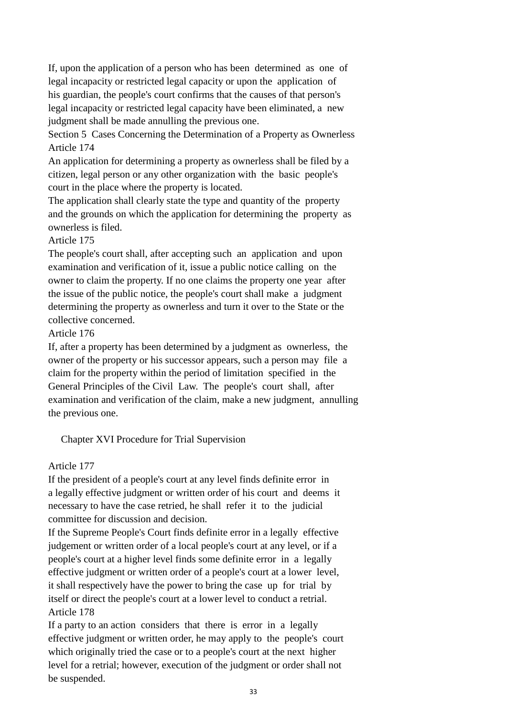If, upon the application of a person who has been determined as one of legal incapacity or restricted legal capacity or upon the application of his guardian, the people's court confirms that the causes of that person's legal incapacity or restricted legal capacity have been eliminated, a new judgment shall be made annulling the previous one.

Section 5 Cases Concerning the Determination of a Property as Ownerless Article 174

An application for determining a property as ownerless shall be filed by a citizen, legal person or any other organization with the basic people's court in the place where the property is located.

The application shall clearly state the type and quantity of the property and the grounds on which the application for determining the property as ownerless is filed.

# Article 175

The people's court shall, after accepting such an application and upon examination and verification of it, issue a public notice calling on the owner to claim the property. If no one claims the property one year after the issue of the public notice, the people's court shall make a judgment determining the property as ownerless and turn it over to the State or the collective concerned.

## Article 176

If, after a property has been determined by a judgment as ownerless, the owner of the property or his successor appears, such a person may file a claim for the property within the period of limitation specified in the General Principles of the Civil Law. The people's court shall, after examination and verification of the claim, make a new judgment, annulling the previous one.

Chapter XVI Procedure for Trial Supervision

# Article 177

If the president of a people's court at any level finds definite error in a legally effective judgment or written order of his court and deems it necessary to have the case retried, he shall refer it to the judicial committee for discussion and decision.

If the Supreme People's Court finds definite error in a legally effective judgement or written order of a local people's court at any level, or if a people's court at a higher level finds some definite error in a legally effective judgment or written order of a people's court at a lower level, it shall respectively have the power to bring the case up for trial by itself or direct the people's court at a lower level to conduct a retrial. Article 178

If a party to an action considers that there is error in a legally effective judgment or written order, he may apply to the people's court which originally tried the case or to a people's court at the next higher level for a retrial; however, execution of the judgment or order shall not be suspended.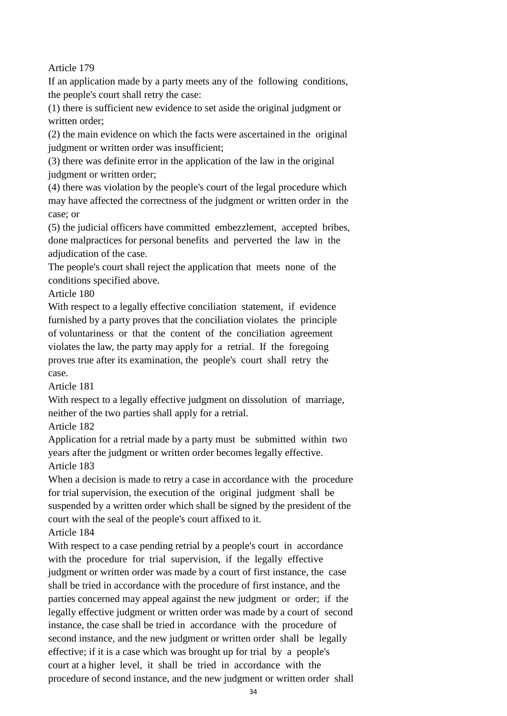Article 179

If an application made by a party meets any of the following conditions, the people's court shall retry the case:

(1) there is sufficient new evidence to set aside the original judgment or written order;

(2) the main evidence on which the facts were ascertained in the original judgment or written order was insufficient;

(3) there was definite error in the application of the law in the original judgment or written order;

(4) there was violation by the people's court of the legal procedure which may have affected the correctness of the judgment or written order in the case; or

(5) the judicial officers have committed embezzlement, accepted bribes, done malpractices for personal benefits and perverted the law in the adjudication of the case.

The people's court shall reject the application that meets none of the conditions specified above.

Article 180

With respect to a legally effective conciliation statement, if evidence furnished by a party proves that the conciliation violates the principle of voluntariness or that the content of the conciliation agreement violates the law, the party may apply for a retrial. If the foregoing proves true after its examination, the people's court shall retry the case.

Article 181

With respect to a legally effective judgment on dissolution of marriage, neither of the two parties shall apply for a retrial.

Article 182

Application for a retrial made by a party must be submitted within two years after the judgment or written order becomes legally effective. Article 183

When a decision is made to retry a case in accordance with the procedure for trial supervision, the execution of the original judgment shall be suspended by a written order which shall be signed by the president of the court with the seal of the people's court affixed to it. Article 184

With respect to a case pending retrial by a people's court in accordance with the procedure for trial supervision, if the legally effective judgment or written order was made by a court of first instance, the case shall be tried in accordance with the procedure of first instance, and the parties concerned may appeal against the new judgment or order; if the legally effective judgment or written order was made by a court of second instance, the case shall be tried in accordance with the procedure of second instance, and the new judgment or written order shall be legally effective; if it is a case which was brought up for trial by a people's court at a higher level, it shall be tried in accordance with the procedure of second instance, and the new judgment or written order shall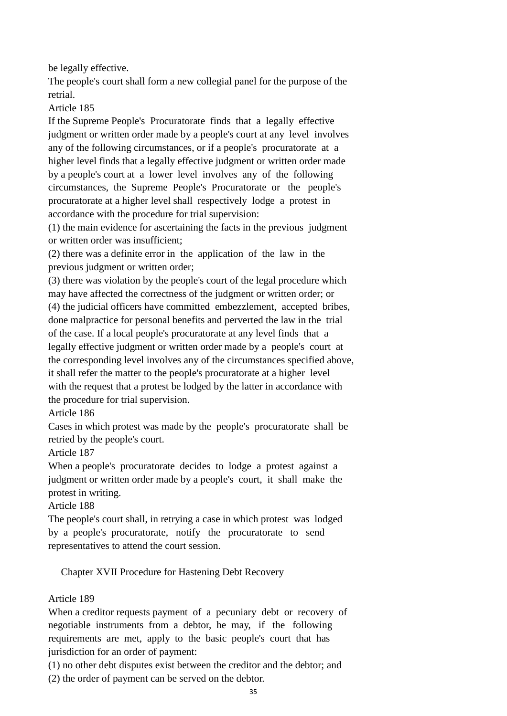be legally effective.

The people's court shall form a new collegial panel for the purpose of the retrial.

Article 185

If the Supreme People's Procuratorate finds that a legally effective judgment or written order made by a people's court at any level involves any of the following circumstances, or if a people's procuratorate at a higher level finds that a legally effective judgment or written order made by a people's court at a lower level involves any of the following circumstances, the Supreme People's Procuratorate or the people's procuratorate at a higher level shall respectively lodge a protest in accordance with the procedure for trial supervision:

(1) the main evidence for ascertaining the facts in the previous judgment or written order was insufficient;

(2) there was a definite error in the application of the law in the previous judgment or written order;

(3) there was violation by the people's court of the legal procedure which may have affected the correctness of the judgment or written order; or (4) the judicial officers have committed embezzlement, accepted bribes, done malpractice for personal benefits and perverted the law in the trial of the case. If a local people's procuratorate at any level finds that a legally effective judgment or written order made by a people's court at the corresponding level involves any of the circumstances specified above, it shall refer the matter to the people's procuratorate at a higher level with the request that a protest be lodged by the latter in accordance with the procedure for trial supervision.

Article 186

Cases in which protest was made by the people's procuratorate shall be retried by the people's court.

Article 187

When a people's procuratorate decides to lodge a protest against a judgment or written order made by a people's court, it shall make the protest in writing.

Article 188

The people's court shall, in retrying a case in which protest was lodged by a people's procuratorate, notify the procuratorate to send representatives to attend the court session.

Chapter XVII Procedure for Hastening Debt Recovery

# Article 189

When a creditor requests payment of a pecuniary debt or recovery of negotiable instruments from a debtor, he may, if the following requirements are met, apply to the basic people's court that has jurisdiction for an order of payment:

(1) no other debt disputes exist between the creditor and the debtor; and (2) the order of payment can be served on the debtor.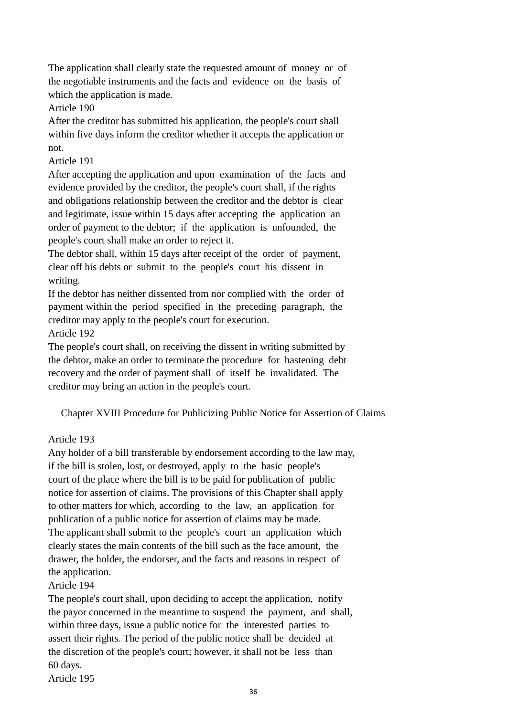The application shall clearly state the requested amount of money or of the negotiable instruments and the facts and evidence on the basis of which the application is made.

Article 190

After the creditor has submitted his application, the people's court shall within five days inform the creditor whether it accepts the application or not.

# Article 191

After accepting the application and upon examination of the facts and evidence provided by the creditor, the people's court shall, if the rights and obligations relationship between the creditor and the debtor is clear and legitimate, issue within 15 days after accepting the application an order of payment to the debtor; if the application is unfounded, the people's court shall make an order to reject it.

The debtor shall, within 15 days after receipt of the order of payment, clear off his debts or submit to the people's court his dissent in writing.

If the debtor has neither dissented from nor complied with the order of payment within the period specified in the preceding paragraph, the creditor may apply to the people's court for execution.

Article 192

The people's court shall, on receiving the dissent in writing submitted by the debtor, make an order to terminate the procedure for hastening debt recovery and the order of payment shall of itself be invalidated. The creditor may bring an action in the people's court.

# Chapter XVIII Procedure for Publicizing Public Notice for Assertion of Claims

# Article 193

Any holder of a bill transferable by endorsement according to the law may, if the bill is stolen, lost, or destroyed, apply to the basic people's court of the place where the bill is to be paid for publication of public notice for assertion of claims. The provisions of this Chapter shall apply to other matters for which, according to the law, an application for publication of a public notice for assertion of claims may be made. The applicant shall submit to the people's court an application which clearly states the main contents of the bill such as the face amount, the drawer, the holder, the endorser, and the facts and reasons in respect of the application.

# Article 194

The people's court shall, upon deciding to accept the application, notify the payor concerned in the meantime to suspend the payment, and shall, within three days, issue a public notice for the interested parties to assert their rights. The period of the public notice shall be decided at the discretion of the people's court; however, it shall not be less than 60 days.

Article 195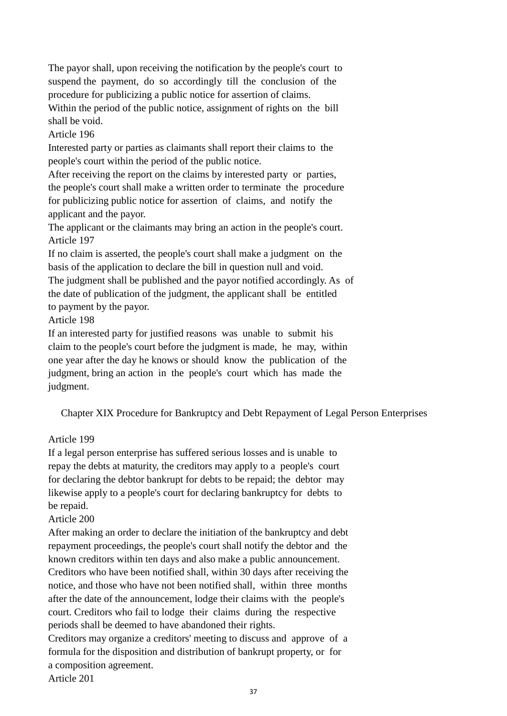The payor shall, upon receiving the notification by the people's court to suspend the payment, do so accordingly till the conclusion of the procedure for publicizing a public notice for assertion of claims.

Within the period of the public notice, assignment of rights on the bill shall be void.

Article 196

Interested party or parties as claimants shall report their claims to the people's court within the period of the public notice.

After receiving the report on the claims by interested party or parties, the people's court shall make a written order to terminate the procedure for publicizing public notice for assertion of claims, and notify the applicant and the payor.

The applicant or the claimants may bring an action in the people's court. Article 197

If no claim is asserted, the people's court shall make a judgment on the basis of the application to declare the bill in question null and void.

The judgment shall be published and the payor notified accordingly. As of the date of publication of the judgment, the applicant shall be entitled to payment by the payor.

Article 198

If an interested party for justified reasons was unable to submit his claim to the people's court before the judgment is made, he may, within one year after the day he knows or should know the publication of the judgment, bring an action in the people's court which has made the judgment.

Chapter XIX Procedure for Bankruptcy and Debt Repayment of Legal Person Enterprises

# Article 199

If a legal person enterprise has suffered serious losses and is unable to repay the debts at maturity, the creditors may apply to a people's court for declaring the debtor bankrupt for debts to be repaid; the debtor may likewise apply to a people's court for declaring bankruptcy for debts to be repaid.

# Article 200

After making an order to declare the initiation of the bankruptcy and debt repayment proceedings, the people's court shall notify the debtor and the known creditors within ten days and also make a public announcement. Creditors who have been notified shall, within 30 days after receiving the notice, and those who have not been notified shall, within three months after the date of the announcement, lodge their claims with the people's court. Creditors who fail to lodge their claims during the respective

periods shall be deemed to have abandoned their rights.

Creditors may organize a creditors' meeting to discuss and approve of a formula for the disposition and distribution of bankrupt property, or for a composition agreement.

Article 201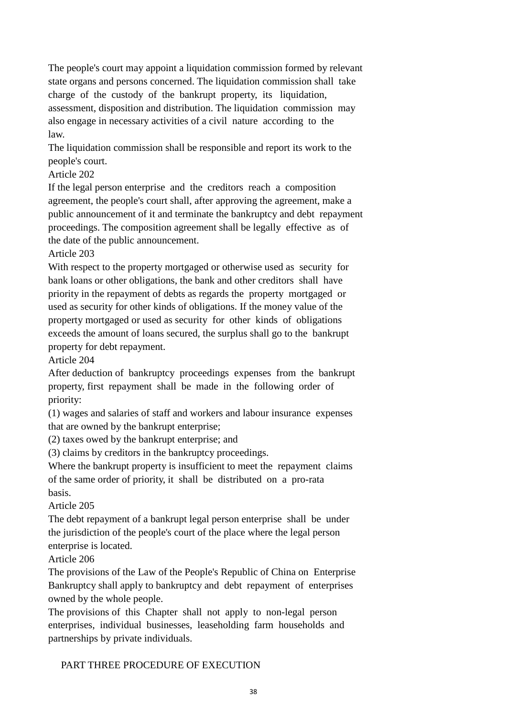The people's court may appoint a liquidation commission formed by relevant state organs and persons concerned. The liquidation commission shall take charge of the custody of the bankrupt property, its liquidation, assessment, disposition and distribution. The liquidation commission may also engage in necessary activities of a civil nature according to the law.

The liquidation commission shall be responsible and report its work to the people's court.

Article 202

If the legal person enterprise and the creditors reach a composition agreement, the people's court shall, after approving the agreement, make a public announcement of it and terminate the bankruptcy and debt repayment proceedings. The composition agreement shall be legally effective as of the date of the public announcement.

# Article 203

With respect to the property mortgaged or otherwise used as security for bank loans or other obligations, the bank and other creditors shall have priority in the repayment of debts as regards the property mortgaged or used as security for other kinds of obligations. If the money value of the property mortgaged or used as security for other kinds of obligations exceeds the amount of loans secured, the surplus shall go to the bankrupt property for debt repayment.

Article 204

After deduction of bankruptcy proceedings expenses from the bankrupt property, first repayment shall be made in the following order of priority:

(1) wages and salaries of staff and workers and labour insurance expenses that are owned by the bankrupt enterprise;

(2) taxes owed by the bankrupt enterprise; and

(3) claims by creditors in the bankruptcy proceedings.

Where the bankrupt property is insufficient to meet the repayment claims of the same order of priority, it shall be distributed on a pro-rata basis.

Article 205

The debt repayment of a bankrupt legal person enterprise shall be under the jurisdiction of the people's court of the place where the legal person enterprise is located.

Article 206

The provisions of the Law of the People's Republic of China on Enterprise Bankruptcy shall apply to bankruptcy and debt repayment of enterprises owned by the whole people.

The provisions of this Chapter shall not apply to non-legal person enterprises, individual businesses, leaseholding farm households and partnerships by private individuals.

# PART THREE PROCEDURE OF EXECUTION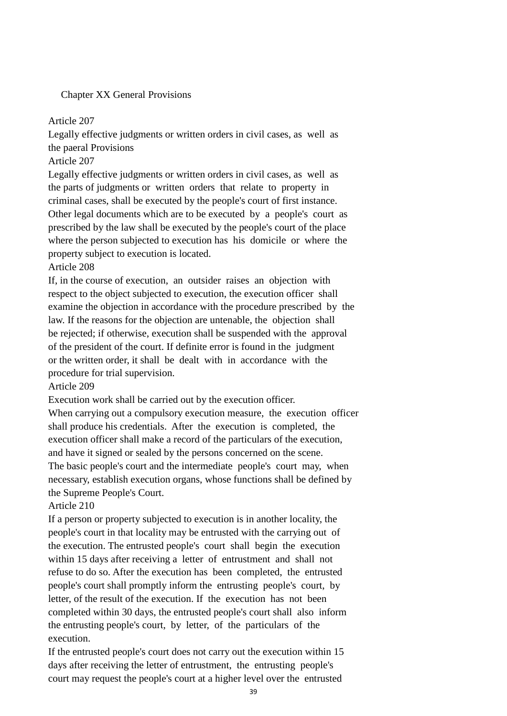### Chapter XX General Provisions

### Article 207

Legally effective judgments or written orders in civil cases, as well as the paeral Provisions

### Article 207

Legally effective judgments or written orders in civil cases, as well as the parts of judgments or written orders that relate to property in criminal cases, shall be executed by the people's court of first instance. Other legal documents which are to be executed by a people's court as prescribed by the law shall be executed by the people's court of the place where the person subjected to execution has his domicile or where the property subject to execution is located.

# Article 208

If, in the course of execution, an outsider raises an objection with respect to the object subjected to execution, the execution officer shall examine the objection in accordance with the procedure prescribed by the law. If the reasons for the objection are untenable, the objection shall be rejected; if otherwise, execution shall be suspended with the approval of the president of the court. If definite error is found in the judgment or the written order, it shall be dealt with in accordance with the procedure for trial supervision.

### Article 209

Execution work shall be carried out by the execution officer.

When carrying out a compulsory execution measure, the execution officer shall produce his credentials. After the execution is completed, the execution officer shall make a record of the particulars of the execution, and have it signed or sealed by the persons concerned on the scene. The basic people's court and the intermediate people's court may, when necessary, establish execution organs, whose functions shall be defined by the Supreme People's Court.

### Article 210

If a person or property subjected to execution is in another locality, the people's court in that locality may be entrusted with the carrying out of the execution. The entrusted people's court shall begin the execution within 15 days after receiving a letter of entrustment and shall not refuse to do so. After the execution has been completed, the entrusted people's court shall promptly inform the entrusting people's court, by letter, of the result of the execution. If the execution has not been completed within 30 days, the entrusted people's court shall also inform the entrusting people's court, by letter, of the particulars of the execution.

If the entrusted people's court does not carry out the execution within 15 days after receiving the letter of entrustment, the entrusting people's court may request the people's court at a higher level over the entrusted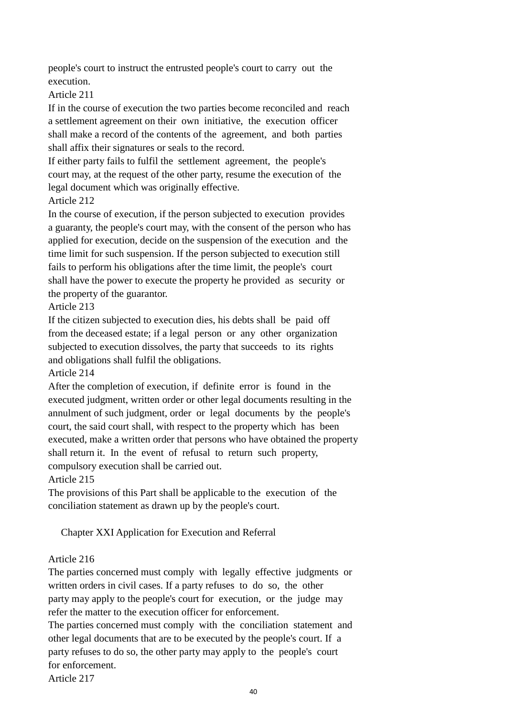people's court to instruct the entrusted people's court to carry out the execution.

Article 211

If in the course of execution the two parties become reconciled and reach a settlement agreement on their own initiative, the execution officer shall make a record of the contents of the agreement, and both parties shall affix their signatures or seals to the record.

If either party fails to fulfil the settlement agreement, the people's court may, at the request of the other party, resume the execution of the legal document which was originally effective.

Article 212

In the course of execution, if the person subjected to execution provides a guaranty, the people's court may, with the consent of the person who has applied for execution, decide on the suspension of the execution and the time limit for such suspension. If the person subjected to execution still fails to perform his obligations after the time limit, the people's court shall have the power to execute the property he provided as security or the property of the guarantor.

Article 213

If the citizen subjected to execution dies, his debts shall be paid off from the deceased estate; if a legal person or any other organization subjected to execution dissolves, the party that succeeds to its rights and obligations shall fulfil the obligations.

Article 214

After the completion of execution, if definite error is found in the executed judgment, written order or other legal documents resulting in the annulment of such judgment, order or legal documents by the people's court, the said court shall, with respect to the property which has been executed, make a written order that persons who have obtained the property shall return it. In the event of refusal to return such property, compulsory execution shall be carried out.

Article 215

The provisions of this Part shall be applicable to the execution of the conciliation statement as drawn up by the people's court.

Chapter XXI Application for Execution and Referral

# Article 216

The parties concerned must comply with legally effective judgments or written orders in civil cases. If a party refuses to do so, the other party may apply to the people's court for execution, or the judge may refer the matter to the execution officer for enforcement.

The parties concerned must comply with the conciliation statement and other legal documents that are to be executed by the people's court. If a party refuses to do so, the other party may apply to the people's court for enforcement.

Article 217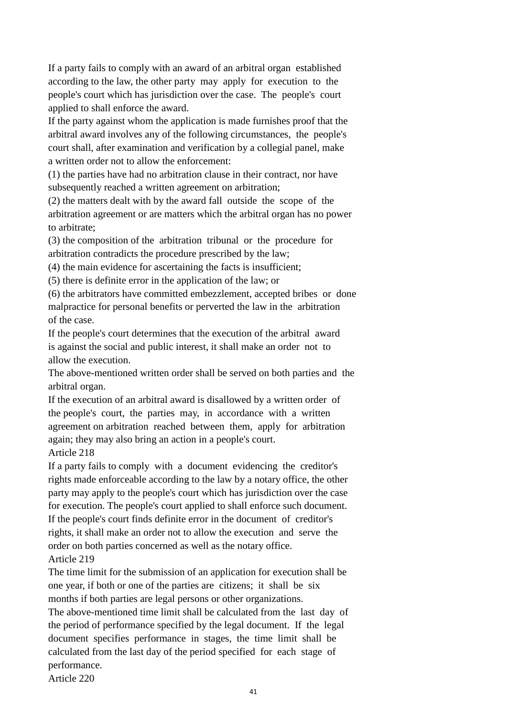If a party fails to comply with an award of an arbitral organ established according to the law, the other party may apply for execution to the people's court which has jurisdiction over the case. The people's court applied to shall enforce the award.

If the party against whom the application is made furnishes proof that the arbitral award involves any of the following circumstances, the people's court shall, after examination and verification by a collegial panel, make a written order not to allow the enforcement:

(1) the parties have had no arbitration clause in their contract, nor have subsequently reached a written agreement on arbitration;

(2) the matters dealt with by the award fall outside the scope of the arbitration agreement or are matters which the arbitral organ has no power to arbitrate;

(3) the composition of the arbitration tribunal or the procedure for arbitration contradicts the procedure prescribed by the law;

(4) the main evidence for ascertaining the facts is insufficient;

(5) there is definite error in the application of the law; or

(6) the arbitrators have committed embezzlement, accepted bribes or done malpractice for personal benefits or perverted the law in the arbitration of the case.

If the people's court determines that the execution of the arbitral award is against the social and public interest, it shall make an order not to allow the execution.

The above-mentioned written order shall be served on both parties and the arbitral organ.

If the execution of an arbitral award is disallowed by a written order of the people's court, the parties may, in accordance with a written agreement on arbitration reached between them, apply for arbitration again; they may also bring an action in a people's court.

Article 218

If a party fails to comply with a document evidencing the creditor's rights made enforceable according to the law by a notary office, the other party may apply to the people's court which has jurisdiction over the case for execution. The people's court applied to shall enforce such document. If the people's court finds definite error in the document of creditor's rights, it shall make an order not to allow the execution and serve the order on both parties concerned as well as the notary office. Article 219

The time limit for the submission of an application for execution shall be one year, if both or one of the parties are citizens; it shall be six months if both parties are legal persons or other organizations.

The above-mentioned time limit shall be calculated from the last day of the period of performance specified by the legal document. If the legal document specifies performance in stages, the time limit shall be calculated from the last day of the period specified for each stage of performance.

Article 220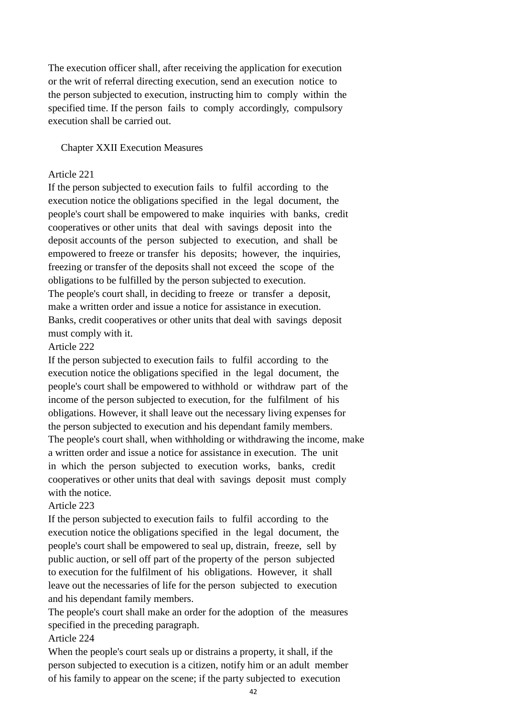The execution officer shall, after receiving the application for execution or the writ of referral directing execution, send an execution notice to the person subjected to execution, instructing him to comply within the specified time. If the person fails to comply accordingly, compulsory execution shall be carried out.

Chapter XXII Execution Measures

### Article 221

If the person subjected to execution fails to fulfil according to the execution notice the obligations specified in the legal document, the people's court shall be empowered to make inquiries with banks, credit cooperatives or other units that deal with savings deposit into the deposit accounts of the person subjected to execution, and shall be empowered to freeze or transfer his deposits; however, the inquiries, freezing or transfer of the deposits shall not exceed the scope of the obligations to be fulfilled by the person subjected to execution. The people's court shall, in deciding to freeze or transfer a deposit, make a written order and issue a notice for assistance in execution. Banks, credit cooperatives or other units that deal with savings deposit must comply with it.

### Article 222

If the person subjected to execution fails to fulfil according to the execution notice the obligations specified in the legal document, the people's court shall be empowered to withhold or withdraw part of the income of the person subjected to execution, for the fulfilment of his obligations. However, it shall leave out the necessary living expenses for the person subjected to execution and his dependant family members. The people's court shall, when withholding or withdrawing the income, make a written order and issue a notice for assistance in execution. The unit in which the person subjected to execution works, banks, credit cooperatives or other units that deal with savings deposit must comply with the notice.

### Article 223

If the person subjected to execution fails to fulfil according to the execution notice the obligations specified in the legal document, the people's court shall be empowered to seal up, distrain, freeze, sell by public auction, or sell off part of the property of the person subjected to execution for the fulfilment of his obligations. However, it shall leave out the necessaries of life for the person subjected to execution and his dependant family members.

The people's court shall make an order for the adoption of the measures specified in the preceding paragraph.

### Article 224

When the people's court seals up or distrains a property, it shall, if the person subjected to execution is a citizen, notify him or an adult member of his family to appear on the scene; if the party subjected to execution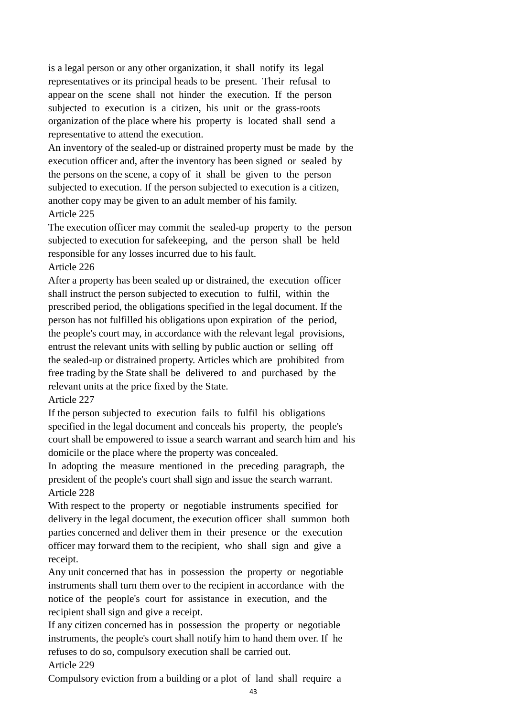is a legal person or any other organization, it shall notify its legal representatives or its principal heads to be present. Their refusal to appear on the scene shall not hinder the execution. If the person subjected to execution is a citizen, his unit or the grass-roots organization of the place where his property is located shall send a representative to attend the execution.

An inventory of the sealed-up or distrained property must be made by the execution officer and, after the inventory has been signed or sealed by the persons on the scene, a copy of it shall be given to the person subjected to execution. If the person subjected to execution is a citizen, another copy may be given to an adult member of his family. Article 225

The execution officer may commit the sealed-up property to the person subjected to execution for safekeeping, and the person shall be held responsible for any losses incurred due to his fault.

### Article 226

After a property has been sealed up or distrained, the execution officer shall instruct the person subjected to execution to fulfil, within the prescribed period, the obligations specified in the legal document. If the person has not fulfilled his obligations upon expiration of the period, the people's court may, in accordance with the relevant legal provisions, entrust the relevant units with selling by public auction or selling off the sealed-up or distrained property. Articles which are prohibited from free trading by the State shall be delivered to and purchased by the relevant units at the price fixed by the State.

### Article 227

If the person subjected to execution fails to fulfil his obligations specified in the legal document and conceals his property, the people's court shall be empowered to issue a search warrant and search him and his domicile or the place where the property was concealed.

In adopting the measure mentioned in the preceding paragraph, the president of the people's court shall sign and issue the search warrant. Article 228

With respect to the property or negotiable instruments specified for delivery in the legal document, the execution officer shall summon both parties concerned and deliver them in their presence or the execution officer may forward them to the recipient, who shall sign and give a receipt.

Any unit concerned that has in possession the property or negotiable instruments shall turn them over to the recipient in accordance with the notice of the people's court for assistance in execution, and the recipient shall sign and give a receipt.

If any citizen concerned has in possession the property or negotiable instruments, the people's court shall notify him to hand them over. If he refuses to do so, compulsory execution shall be carried out.

Article 229

Compulsory eviction from a building or a plot of land shall require a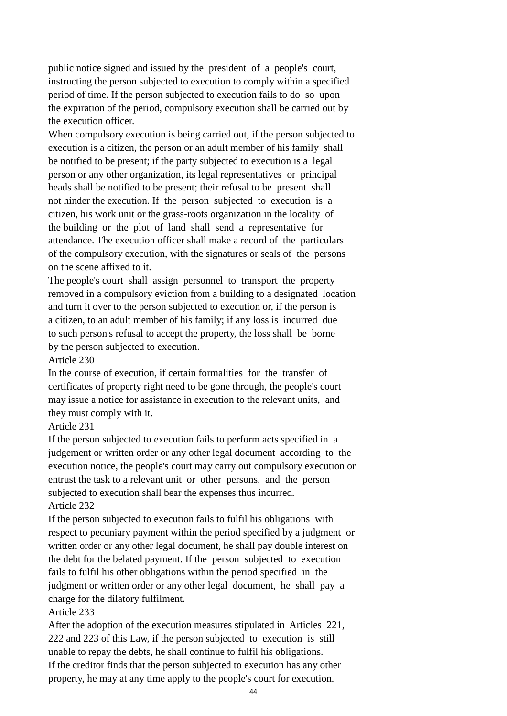public notice signed and issued by the president of a people's court, instructing the person subjected to execution to comply within a specified period of time. If the person subjected to execution fails to do so upon the expiration of the period, compulsory execution shall be carried out by the execution officer.

When compulsory execution is being carried out, if the person subjected to execution is a citizen, the person or an adult member of his family shall be notified to be present; if the party subjected to execution is a legal person or any other organization, its legal representatives or principal heads shall be notified to be present; their refusal to be present shall not hinder the execution. If the person subjected to execution is a citizen, his work unit or the grass-roots organization in the locality of the building or the plot of land shall send a representative for attendance. The execution officer shall make a record of the particulars of the compulsory execution, with the signatures or seals of the persons on the scene affixed to it.

The people's court shall assign personnel to transport the property removed in a compulsory eviction from a building to a designated location and turn it over to the person subjected to execution or, if the person is a citizen, to an adult member of his family; if any loss is incurred due to such person's refusal to accept the property, the loss shall be borne by the person subjected to execution.

### Article 230

In the course of execution, if certain formalities for the transfer of certificates of property right need to be gone through, the people's court may issue a notice for assistance in execution to the relevant units, and they must comply with it.

### Article 231

If the person subjected to execution fails to perform acts specified in a judgement or written order or any other legal document according to the execution notice, the people's court may carry out compulsory execution or entrust the task to a relevant unit or other persons, and the person subjected to execution shall bear the expenses thus incurred. Article 232

If the person subjected to execution fails to fulfil his obligations with respect to pecuniary payment within the period specified by a judgment or written order or any other legal document, he shall pay double interest on the debt for the belated payment. If the person subjected to execution fails to fulfil his other obligations within the period specified in the judgment or written order or any other legal document, he shall pay a charge for the dilatory fulfilment.

# Article 233

After the adoption of the execution measures stipulated in Articles 221, 222 and 223 of this Law, if the person subjected to execution is still unable to repay the debts, he shall continue to fulfil his obligations. If the creditor finds that the person subjected to execution has any other property, he may at any time apply to the people's court for execution.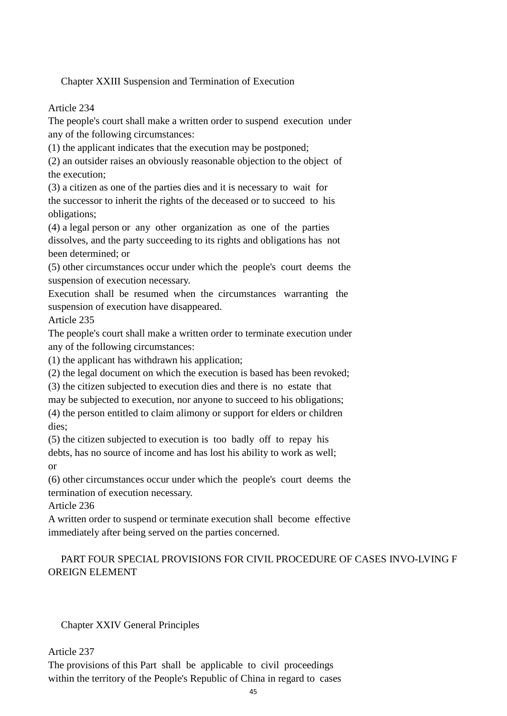Chapter XXIII Suspension and Termination of Execution

Article 234

The people's court shall make a written order to suspend execution under any of the following circumstances:

(1) the applicant indicates that the execution may be postponed;

(2) an outsider raises an obviously reasonable objection to the object of the execution;

(3) a citizen as one of the parties dies and it is necessary to wait for the successor to inherit the rights of the deceased or to succeed to his obligations;

(4) a legal person or any other organization as one of the parties dissolves, and the party succeeding to its rights and obligations has not been determined; or

(5) other circumstances occur under which the people's court deems the suspension of execution necessary.

Execution shall be resumed when the circumstances warranting the suspension of execution have disappeared.

Article 235

The people's court shall make a written order to terminate execution under any of the following circumstances:

(1) the applicant has withdrawn his application;

(2) the legal document on which the execution is based has been revoked;

(3) the citizen subjected to execution dies and there is no estate that

may be subjected to execution, nor anyone to succeed to his obligations; (4) the person entitled to claim alimony or support for elders or children dies;

(5) the citizen subjected to execution is too badly off to repay his debts, has no source of income and has lost his ability to work as well; or

(6) other circumstances occur under which the people's court deems the termination of execution necessary.

Article 236

A written order to suspend or terminate execution shall become effective immediately after being served on the parties concerned.

# PART FOUR SPECIAL PROVISIONS FOR CIVIL PROCEDURE OF CASES INVO-LVING F OREIGN ELEMENT

Chapter XXIV General Principles

Article 237 The provisions of this Part shall be applicable to civil proceedings within the territory of the People's Republic of China in regard to cases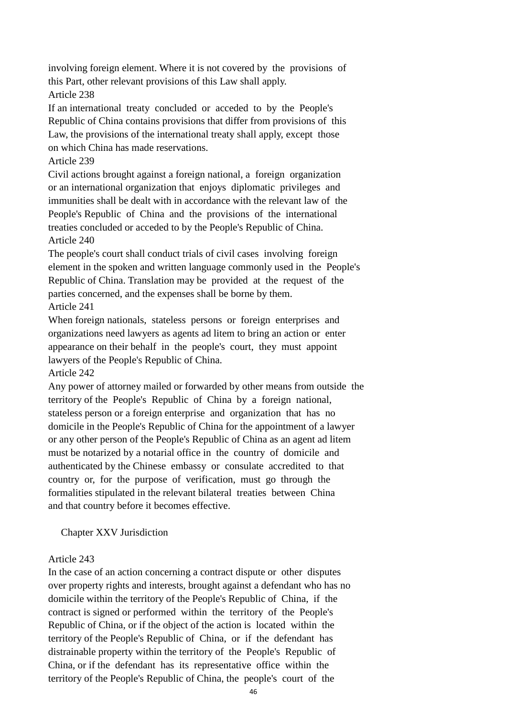involving foreign element. Where it is not covered by the provisions of this Part, other relevant provisions of this Law shall apply.

Article 238

If an international treaty concluded or acceded to by the People's Republic of China contains provisions that differ from provisions of this Law, the provisions of the international treaty shall apply, except those on which China has made reservations.

Article 239

Civil actions brought against a foreign national, a foreign organization or an international organization that enjoys diplomatic privileges and immunities shall be dealt with in accordance with the relevant law of the People's Republic of China and the provisions of the international treaties concluded or acceded to by the People's Republic of China. Article 240

The people's court shall conduct trials of civil cases involving foreign element in the spoken and written language commonly used in the People's Republic of China. Translation may be provided at the request of the parties concerned, and the expenses shall be borne by them.

Article 241

When foreign nationals, stateless persons or foreign enterprises and organizations need lawyers as agents ad litem to bring an action or enter appearance on their behalf in the people's court, they must appoint lawyers of the People's Republic of China.

Article 242

Any power of attorney mailed or forwarded by other means from outside the territory of the People's Republic of China by a foreign national, stateless person or a foreign enterprise and organization that has no domicile in the People's Republic of China for the appointment of a lawyer or any other person of the People's Republic of China as an agent ad litem must be notarized by a notarial office in the country of domicile and authenticated by the Chinese embassy or consulate accredited to that country or, for the purpose of verification, must go through the formalities stipulated in the relevant bilateral treaties between China and that country before it becomes effective.

# Chapter XXV Jurisdiction

### Article 243

In the case of an action concerning a contract dispute or other disputes over property rights and interests, brought against a defendant who has no domicile within the territory of the People's Republic of China, if the contract is signed or performed within the territory of the People's Republic of China, or if the object of the action is located within the territory of the People's Republic of China, or if the defendant has distrainable property within the territory of the People's Republic of China, or if the defendant has its representative office within the territory of the People's Republic of China, the people's court of the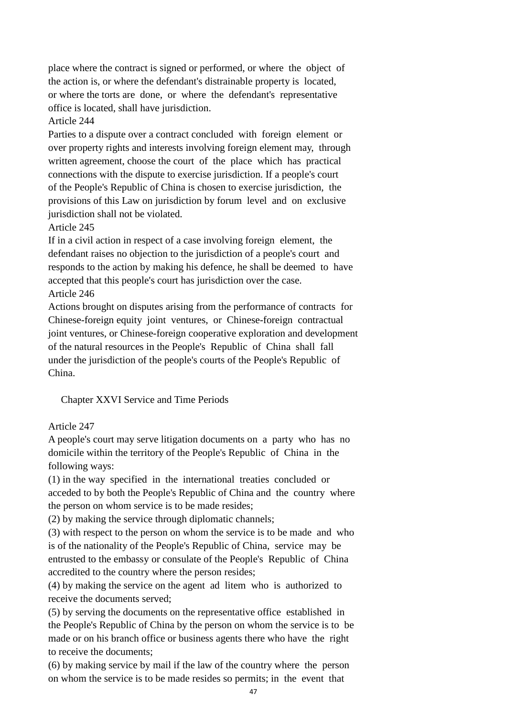place where the contract is signed or performed, or where the object of the action is, or where the defendant's distrainable property is located, or where the torts are done, or where the defendant's representative office is located, shall have jurisdiction.

### Article 244

Parties to a dispute over a contract concluded with foreign element or over property rights and interests involving foreign element may, through written agreement, choose the court of the place which has practical connections with the dispute to exercise jurisdiction. If a people's court of the People's Republic of China is chosen to exercise jurisdiction, the provisions of this Law on jurisdiction by forum level and on exclusive jurisdiction shall not be violated.

### Article 245

If in a civil action in respect of a case involving foreign element, the defendant raises no objection to the jurisdiction of a people's court and responds to the action by making his defence, he shall be deemed to have accepted that this people's court has jurisdiction over the case. Article 246

Actions brought on disputes arising from the performance of contracts for Chinese-foreign equity joint ventures, or Chinese-foreign contractual joint ventures, or Chinese-foreign cooperative exploration and development of the natural resources in the People's Republic of China shall fall under the jurisdiction of the people's courts of the People's Republic of China.

Chapter XXVI Service and Time Periods

# Article 247

A people's court may serve litigation documents on a party who has no domicile within the territory of the People's Republic of China in the following ways:

(1) in the way specified in the international treaties concluded or acceded to by both the People's Republic of China and the country where the person on whom service is to be made resides;

(2) by making the service through diplomatic channels;

(3) with respect to the person on whom the service is to be made and who is of the nationality of the People's Republic of China, service may be entrusted to the embassy or consulate of the People's Republic of China accredited to the country where the person resides;

(4) by making the service on the agent ad litem who is authorized to receive the documents served;

(5) by serving the documents on the representative office established in the People's Republic of China by the person on whom the service is to be made or on his branch office or business agents there who have the right to receive the documents;

(6) by making service by mail if the law of the country where the person on whom the service is to be made resides so permits; in the event that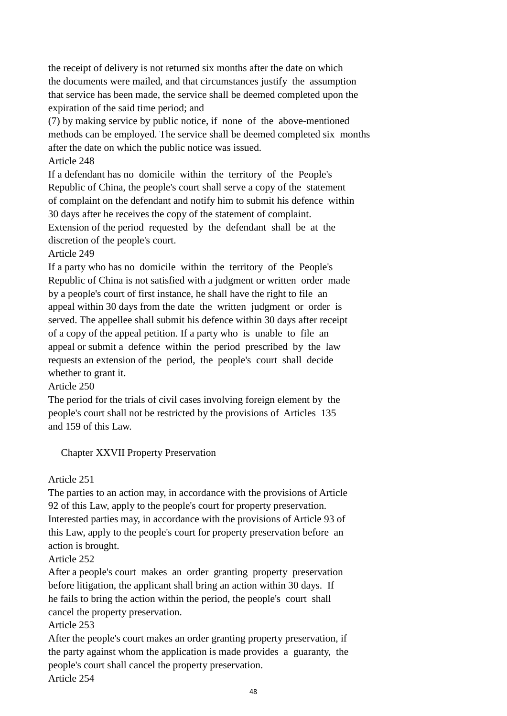the receipt of delivery is not returned six months after the date on which the documents were mailed, and that circumstances justify the assumption that service has been made, the service shall be deemed completed upon the expiration of the said time period; and

(7) by making service by public notice, if none of the above-mentioned methods can be employed. The service shall be deemed completed six months after the date on which the public notice was issued.

## Article 248

If a defendant has no domicile within the territory of the People's Republic of China, the people's court shall serve a copy of the statement of complaint on the defendant and notify him to submit his defence within 30 days after he receives the copy of the statement of complaint. Extension of the period requested by the defendant shall be at the

discretion of the people's court.

# Article 249

If a party who has no domicile within the territory of the People's Republic of China is not satisfied with a judgment or written order made by a people's court of first instance, he shall have the right to file an appeal within 30 days from the date the written judgment or order is served. The appellee shall submit his defence within 30 days after receipt of a copy of the appeal petition. If a party who is unable to file an appeal or submit a defence within the period prescribed by the law requests an extension of the period, the people's court shall decide whether to grant it.

# Article 250

The period for the trials of civil cases involving foreign element by the people's court shall not be restricted by the provisions of Articles 135 and 159 of this Law.

Chapter XXVII Property Preservation

# Article 251

The parties to an action may, in accordance with the provisions of Article 92 of this Law, apply to the people's court for property preservation. Interested parties may, in accordance with the provisions of Article 93 of this Law, apply to the people's court for property preservation before an action is brought.

# Article 252

After a people's court makes an order granting property preservation before litigation, the applicant shall bring an action within 30 days. If he fails to bring the action within the period, the people's court shall cancel the property preservation.

# Article 253

After the people's court makes an order granting property preservation, if the party against whom the application is made provides a guaranty, the people's court shall cancel the property preservation. Article 254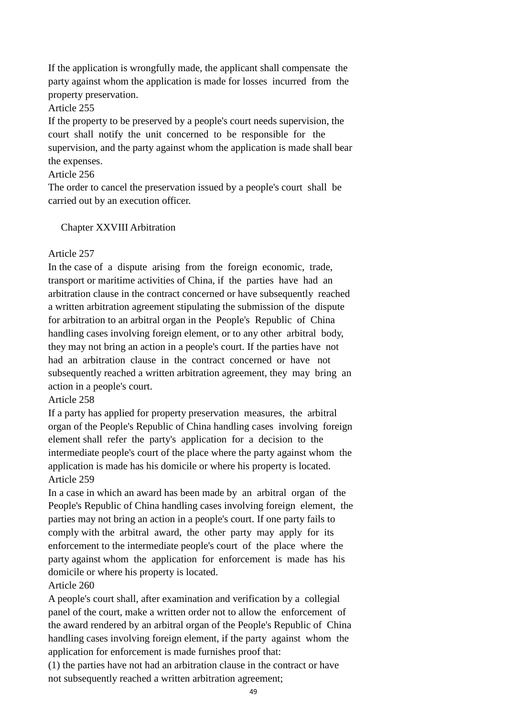If the application is wrongfully made, the applicant shall compensate the party against whom the application is made for losses incurred from the property preservation.

### Article 255

If the property to be preserved by a people's court needs supervision, the court shall notify the unit concerned to be responsible for the supervision, and the party against whom the application is made shall bear the expenses.

## Article 256

The order to cancel the preservation issued by a people's court shall be carried out by an execution officer.

## Chapter XXVIII Arbitration

## Article 257

In the case of a dispute arising from the foreign economic, trade, transport or maritime activities of China, if the parties have had an arbitration clause in the contract concerned or have subsequently reached a written arbitration agreement stipulating the submission of the dispute for arbitration to an arbitral organ in the People's Republic of China handling cases involving foreign element, or to any other arbitral body, they may not bring an action in a people's court. If the parties have not had an arbitration clause in the contract concerned or have not subsequently reached a written arbitration agreement, they may bring an action in a people's court.

# Article 258

If a party has applied for property preservation measures, the arbitral organ of the People's Republic of China handling cases involving foreign element shall refer the party's application for a decision to the intermediate people's court of the place where the party against whom the application is made has his domicile or where his property is located. Article 259

In a case in which an award has been made by an arbitral organ of the People's Republic of China handling cases involving foreign element, the parties may not bring an action in a people's court. If one party fails to comply with the arbitral award, the other party may apply for its enforcement to the intermediate people's court of the place where the party against whom the application for enforcement is made has his domicile or where his property is located.

### Article 260

A people's court shall, after examination and verification by a collegial panel of the court, make a written order not to allow the enforcement of the award rendered by an arbitral organ of the People's Republic of China handling cases involving foreign element, if the party against whom the application for enforcement is made furnishes proof that:

(1) the parties have not had an arbitration clause in the contract or have not subsequently reached a written arbitration agreement;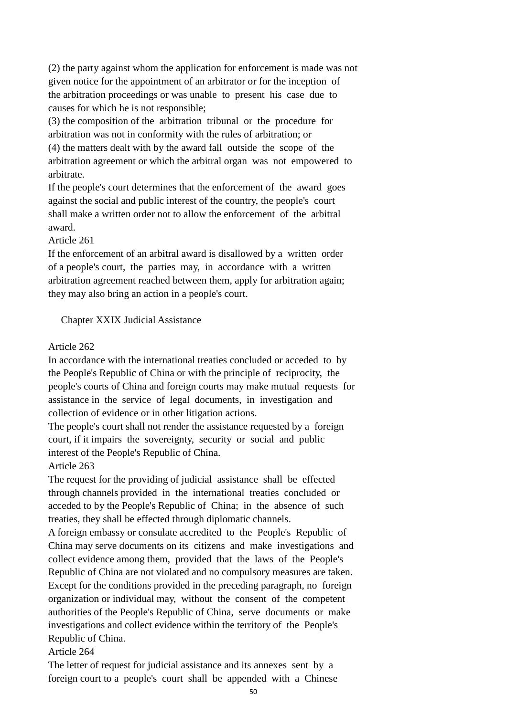(2) the party against whom the application for enforcement is made was not given notice for the appointment of an arbitrator or for the inception of the arbitration proceedings or was unable to present his case due to causes for which he is not responsible;

(3) the composition of the arbitration tribunal or the procedure for arbitration was not in conformity with the rules of arbitration; or (4) the matters dealt with by the award fall outside the scope of the

arbitration agreement or which the arbitral organ was not empowered to arbitrate.

If the people's court determines that the enforcement of the award goes against the social and public interest of the country, the people's court shall make a written order not to allow the enforcement of the arbitral award.

## Article 261

If the enforcement of an arbitral award is disallowed by a written order of a people's court, the parties may, in accordance with a written arbitration agreement reached between them, apply for arbitration again; they may also bring an action in a people's court.

# Chapter XXIX Judicial Assistance

### Article 262

In accordance with the international treaties concluded or acceded to by the People's Republic of China or with the principle of reciprocity, the people's courts of China and foreign courts may make mutual requests for assistance in the service of legal documents, in investigation and collection of evidence or in other litigation actions.

The people's court shall not render the assistance requested by a foreign court, if it impairs the sovereignty, security or social and public interest of the People's Republic of China.

### Article 263

The request for the providing of judicial assistance shall be effected through channels provided in the international treaties concluded or acceded to by the People's Republic of China; in the absence of such treaties, they shall be effected through diplomatic channels.

A foreign embassy or consulate accredited to the People's Republic of China may serve documents on its citizens and make investigations and collect evidence among them, provided that the laws of the People's Republic of China are not violated and no compulsory measures are taken. Except for the conditions provided in the preceding paragraph, no foreign organization or individual may, without the consent of the competent authorities of the People's Republic of China, serve documents or make investigations and collect evidence within the territory of the People's Republic of China.

Article 264

The letter of request for judicial assistance and its annexes sent by a foreign court to a people's court shall be appended with a Chinese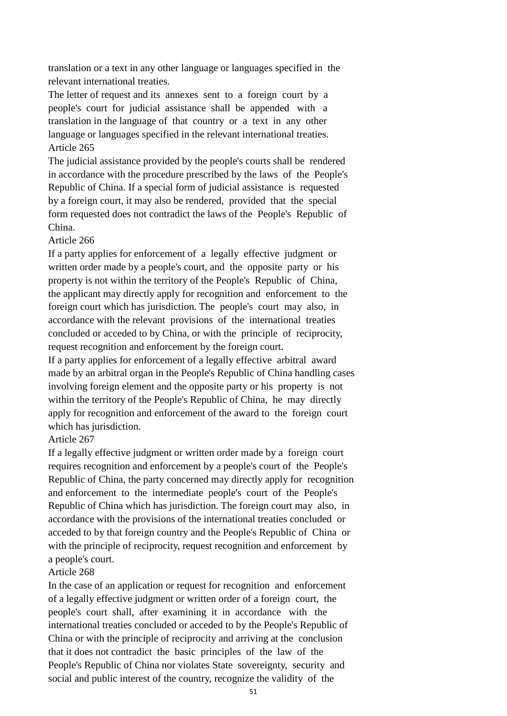translation or a text in any other language or languages specified in the relevant international treaties.

The letter of request and its annexes sent to a foreign court by a people's court for judicial assistance shall be appended with a translation in the language of that country or a text in any other language or languages specified in the relevant international treaties. Article 265

The judicial assistance provided by the people's courts shall be rendered in accordance with the procedure prescribed by the laws of the People's Republic of China. If a special form of judicial assistance is requested by a foreign court, it may also be rendered, provided that the special form requested does not contradict the laws of the People's Republic of China.

### Article 266

If a party applies for enforcement of a legally effective judgment or written order made by a people's court, and the opposite party or his property is not within the territory of the People's Republic of China, the applicant may directly apply for recognition and enforcement to the foreign court which has jurisdiction. The people's court may also, in accordance with the relevant provisions of the international treaties concluded or acceded to by China, or with the principle of reciprocity, request recognition and enforcement by the foreign court.

If a party applies for enforcement of a legally effective arbitral award made by an arbitral organ in the People's Republic of China handling cases involving foreign element and the opposite party or his property is not within the territory of the People's Republic of China, he may directly apply for recognition and enforcement of the award to the foreign court which has jurisdiction.

#### Article 267

If a legally effective judgment or written order made by a foreign court requires recognition and enforcement by a people's court of the People's Republic of China, the party concerned may directly apply for recognition and enforcement to the intermediate people's court of the People's Republic of China which has jurisdiction. The foreign court may also, in accordance with the provisions of the international treaties concluded or acceded to by that foreign country and the People's Republic of China or with the principle of reciprocity, request recognition and enforcement by a people's court.

### Article 268

In the case of an application or request for recognition and enforcement of a legally effective judgment or written order of a foreign court, the people's court shall, after examining it in accordance with the international treaties concluded or acceded to by the People's Republic of China or with the principle of reciprocity and arriving at the conclusion that it does not contradict the basic principles of the law of the People's Republic of China nor violates State sovereignty, security and social and public interest of the country, recognize the validity of the